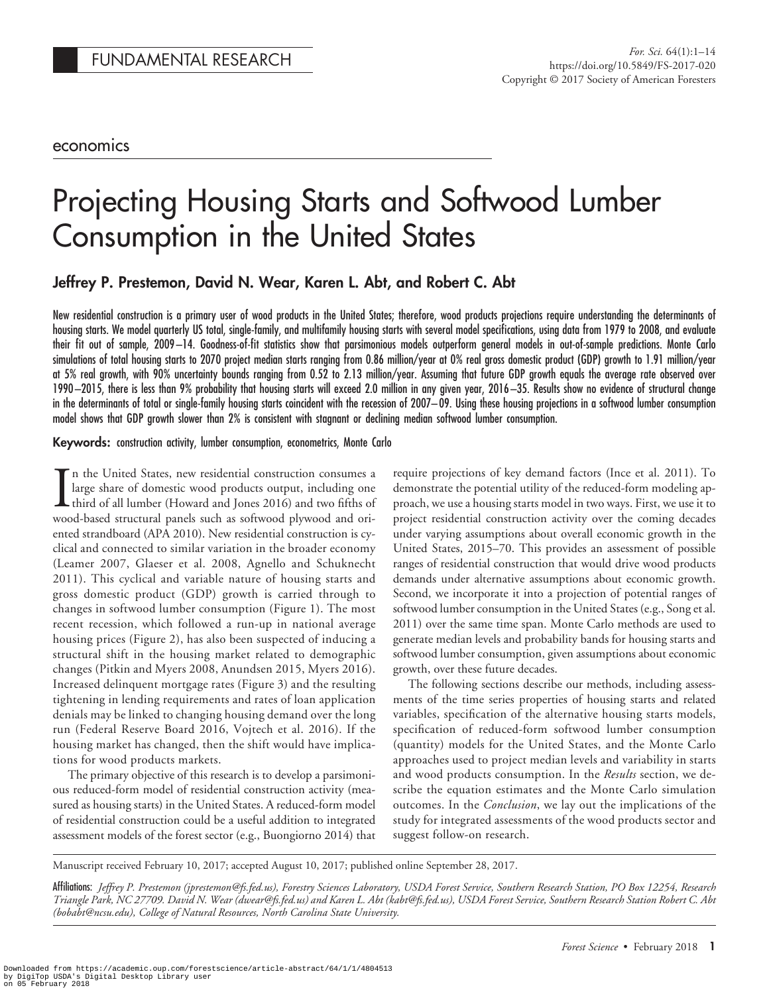## economics

# Projecting Housing Starts and Softwood Lumber Consumption in the United States

Jeffrey P. Prestemon, David N. Wear, Karen L. Abt, and Robert C. Abt

New residential construction is a primary user of wood products in the United States; therefore, wood products projections require understanding the determinants of housing starts. We model quarterly US total, single-family, and multifamily housing starts with several model specifications, using data from 1979 to 2008, and evaluate their fit out of sample, 2009 –14. Goodness-of-fit statistics show that parsimonious models outperform general models in out-of-sample predictions. Monte Carlo simulations of total housing starts to 2070 project median starts ranging from 0.86 million/year at 0% real gross domestic product (GDP) growth to 1.91 million/year at 5% real growth, with 90% uncertainty bounds ranging from 0.52 to 2.13 million/year. Assuming that future GDP growth equals the average rate observed over 1990 –2015, there is less than 9% probability that housing starts will exceed 2.0 million in any given year, 2016 –35. Results show no evidence of structural change in the determinants of total or single-family housing starts coincident with the recession of 2007– 09. Using these housing projections in a softwood lumber consumption model shows that GDP growth slower than 2% is consistent with stagnant or declining median softwood lumber consumption.

#### Keywords: construction activity, lumber consumption, econometrics, Monte Carlo

In the United States, new residential construction consumes a large share of domestic wood products output, including one third of all lumber (Howard and Jones 2016) and two fifths of wood-based structural panels such as s n the United States, new residential construction consumes a large share of domestic wood products output, including one third of all lumber (Howard and Jones 2016) and two fifths of ented strandboard (APA 2010). New residential construction is cyclical and connected to similar variation in the broader economy (Leamer 2007, Glaeser et al. 2008, Agnello and Schuknecht 2011). This cyclical and variable nature of housing starts and gross domestic product (GDP) growth is carried through to changes in softwood lumber consumption (Figure 1). The most recent recession, which followed a run-up in national average housing prices (Figure 2), has also been suspected of inducing a structural shift in the housing market related to demographic changes (Pitkin and Myers 2008, Anundsen 2015, Myers 2016). Increased delinquent mortgage rates (Figure 3) and the resulting tightening in lending requirements and rates of loan application denials may be linked to changing housing demand over the long run (Federal Reserve Board 2016, Vojtech et al. 2016). If the housing market has changed, then the shift would have implications for wood products markets.

The primary objective of this research is to develop a parsimonious reduced-form model of residential construction activity (measured as housing starts) in the United States. A reduced-form model of residential construction could be a useful addition to integrated assessment models of the forest sector (e.g., Buongiorno 2014) that

require projections of key demand factors (Ince et al. 2011). To demonstrate the potential utility of the reduced-form modeling approach, we use a housing starts model in two ways. First, we use it to project residential construction activity over the coming decades under varying assumptions about overall economic growth in the United States, 2015–70. This provides an assessment of possible ranges of residential construction that would drive wood products demands under alternative assumptions about economic growth. Second, we incorporate it into a projection of potential ranges of softwood lumber consumption in the United States (e.g., Song et al. 2011) over the same time span. Monte Carlo methods are used to generate median levels and probability bands for housing starts and softwood lumber consumption, given assumptions about economic growth, over these future decades.

The following sections describe our methods, including assessments of the time series properties of housing starts and related variables, specification of the alternative housing starts models, specification of reduced-form softwood lumber consumption (quantity) models for the United States, and the Monte Carlo approaches used to project median levels and variability in starts and wood products consumption. In the *Results* section, we describe the equation estimates and the Monte Carlo simulation outcomes. In the *Conclusion*, we lay out the implications of the study for integrated assessments of the wood products sector and suggest follow-on research.

Manuscript received February 10, 2017; accepted August 10, 2017; published online September 28, 2017.

Affiliations: *Jeffrey P. Prestemon (jprestemon@fs.fed.us), Forestry Sciences Laboratory, USDA Forest Service, Southern Research Station, PO Box 12254, Research Triangle Park, NC 27709. David N. Wear (dwear@fs.fed.us) and Karen L. Abt (kabt@fs.fed.us), USDA Forest Service, Southern Research Station Robert C. Abt (bobabt@ncsu.edu), College of Natural Resources, North Carolina State University.*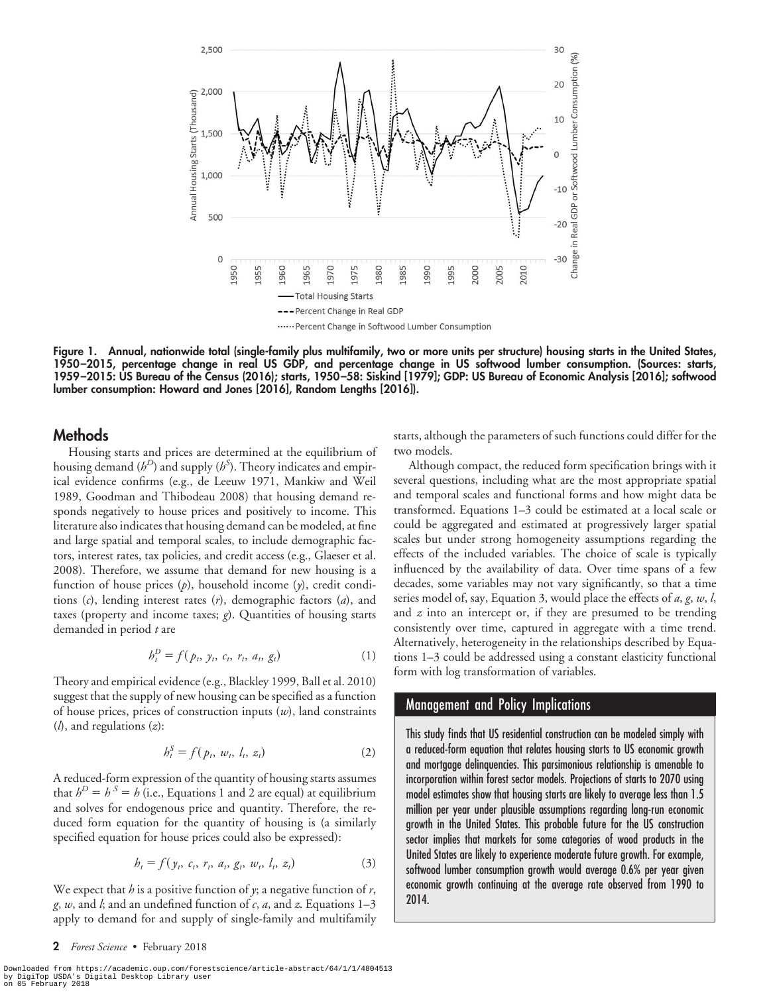

Figure 1. Annual, nationwide total (single-family plus multifamily, two or more units per structure) housing starts in the United States, 1950 –2015, percentage change in real US GDP, and percentage change in US softwood lumber consumption. (Sources: starts, 1959 –2015: US Bureau of the Census (2016); starts, 1950 –58: Siskind [1979]; GDP: US Bureau of Economic Analysis [2016]; softwood lumber consumption: Howard and Jones [2016], Random Lengths [2016]).

## **Methods**

Housing starts and prices are determined at the equilibrium of housing demand  $(b^D)$  and supply  $(b^S)$ . Theory indicates and empirical evidence confirms (e.g., de Leeuw 1971, Mankiw and Weil 1989, Goodman and Thibodeau 2008) that housing demand responds negatively to house prices and positively to income. This literature also indicates that housing demand can be modeled, at fine and large spatial and temporal scales, to include demographic factors, interest rates, tax policies, and credit access (e.g., Glaeser et al. 2008). Therefore, we assume that demand for new housing is a function of house prices (*p*), household income (*y*), credit conditions (*c*), lending interest rates (*r*), demographic factors (*a*), and taxes (property and income taxes; *g*). Quantities of housing starts demanded in period *t* are

$$
h_t^D = f(p_t, y_t, c_t, r_t, a_t, g_t)
$$
 (1)

Theory and empirical evidence (e.g., Blackley 1999, Ball et al. 2010) suggest that the supply of new housing can be specified as a function of house prices, prices of construction inputs (*w*), land constraints (*l*), and regulations (*z*):

$$
b_t^S = f(p_t, w_t, l_t, z_t)
$$
 (2)

A reduced-form expression of the quantity of housing starts assumes that  $h^D = h^S = h$  (i.e., Equations 1 and 2 are equal) at equilibrium and solves for endogenous price and quantity. Therefore, the reduced form equation for the quantity of housing is (a similarly specified equation for house prices could also be expressed):

$$
h_t = f(y_t, c_t, r_t, a_t, g_t, w_t, l_t, z_t)
$$
\n(3)

We expect that *h* is a positive function of *y*; a negative function of *r*, *g*, *w*, and *l*; and an undefined function of *c*, *a*, and *z*. Equations 1–3 apply to demand for and supply of single-family and multifamily

2 Forest Science • February 2018

Downloaded from https://academic.oup.com/forestscience/article-abstract/64/1/1/4804513<br>by DigiTop USDA's Digital Desktop Library user<br>on 05 February 2018

starts, although the parameters of such functions could differ for the two models.

Although compact, the reduced form specification brings with it several questions, including what are the most appropriate spatial and temporal scales and functional forms and how might data be transformed. Equations 1–3 could be estimated at a local scale or could be aggregated and estimated at progressively larger spatial scales but under strong homogeneity assumptions regarding the effects of the included variables. The choice of scale is typically influenced by the availability of data. Over time spans of a few decades, some variables may not vary significantly, so that a time series model of, say, Equation 3, would place the effects of *a*, *g*, *w*, *l*, and *z* into an intercept or, if they are presumed to be trending consistently over time, captured in aggregate with a time trend. Alternatively, heterogeneity in the relationships described by Equations 1–3 could be addressed using a constant elasticity functional form with log transformation of variables.

### Management and Policy Implications

This study finds that US residential construction can be modeled simply with a reduced-form equation that relates housing starts to US economic growth and mortgage delinquencies. This parsimonious relationship is amenable to incorporation within forest sector models. Projections of starts to 2070 using model estimates show that housing starts are likely to average less than 1.5 million per year under plausible assumptions regarding long-run economic growth in the United States. This probable future for the US construction sector implies that markets for some categories of wood products in the United States are likely to experience moderate future growth. For example, softwood lumber consumption growth would average 0.6% per year given economic growth continuing at the average rate observed from 1990 to 2014.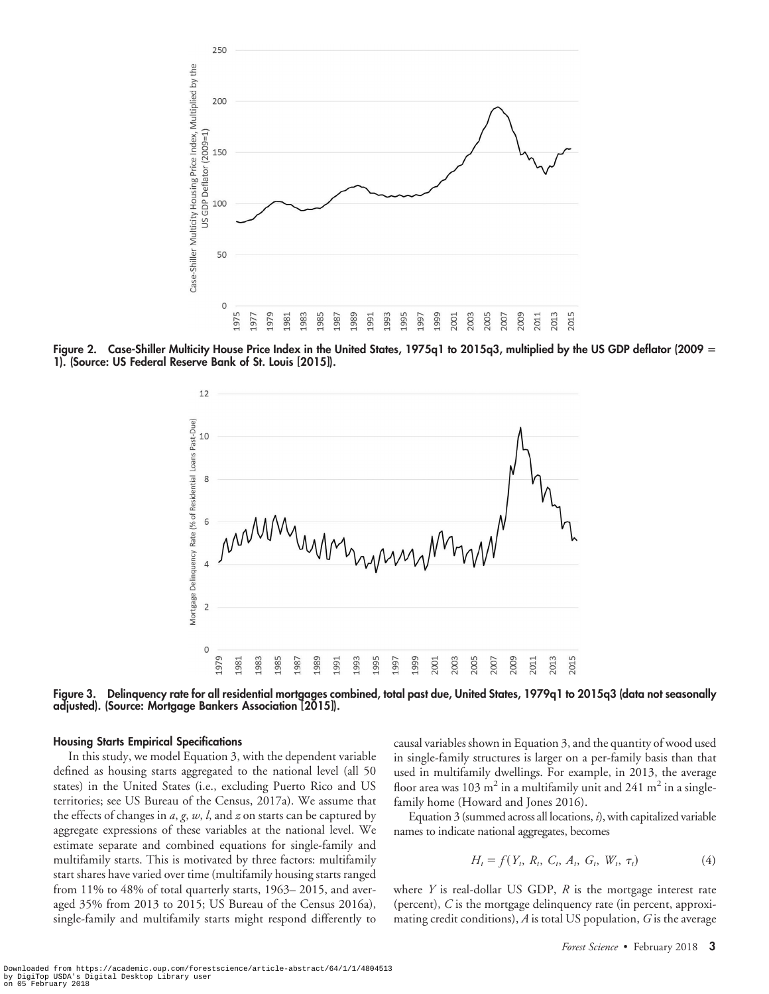

Figure 2. Case-Shiller Multicity House Price Index in the United States, 1975q1 to 2015q3, multiplied by the US GDP deflator (2009 1). (Source: US Federal Reserve Bank of St. Louis [2015]).



Figure 3. Delinquency rate for all residential mortgages combined, total past due, United States, 1979q1 to 2015q3 (data not seasonally adjusted). (Source: Mortgage Bankers Association [2015]).

#### Housing Starts Empirical Specifications

In this study, we model Equation 3, with the dependent variable defined as housing starts aggregated to the national level (all 50 states) in the United States (i.e., excluding Puerto Rico and US territories; see US Bureau of the Census, 2017a). We assume that the effects of changes in *a*, *g*, *w*, *l*, and *z* on starts can be captured by aggregate expressions of these variables at the national level. We estimate separate and combined equations for single-family and multifamily starts. This is motivated by three factors: multifamily start shares have varied over time (multifamily housing starts ranged from 11% to 48% of total quarterly starts, 1963– 2015, and averaged 35% from 2013 to 2015; US Bureau of the Census 2016a), single-family and multifamily starts might respond differently to causal variables shown in Equation 3, and the quantity of wood used in single-family structures is larger on a per-family basis than that used in multifamily dwellings. For example, in 2013, the average floor area was 103 m<sup>2</sup> in a multifamily unit and 241 m<sup>2</sup> in a singlefamily home (Howard and Jones 2016).

Equation 3 (summed across all locations, *i*), with capitalized variable names to indicate national aggregates, becomes

$$
H_t = f(Y_t, R_t, C_t, A_t, G_t, W_t, \tau_t)
$$
\n(4)

where *Y* is real-dollar US GDP, *R* is the mortgage interest rate (percent), *C* is the mortgage delinquency rate (in percent, approximating credit conditions), *A* is total US population, *G* is the average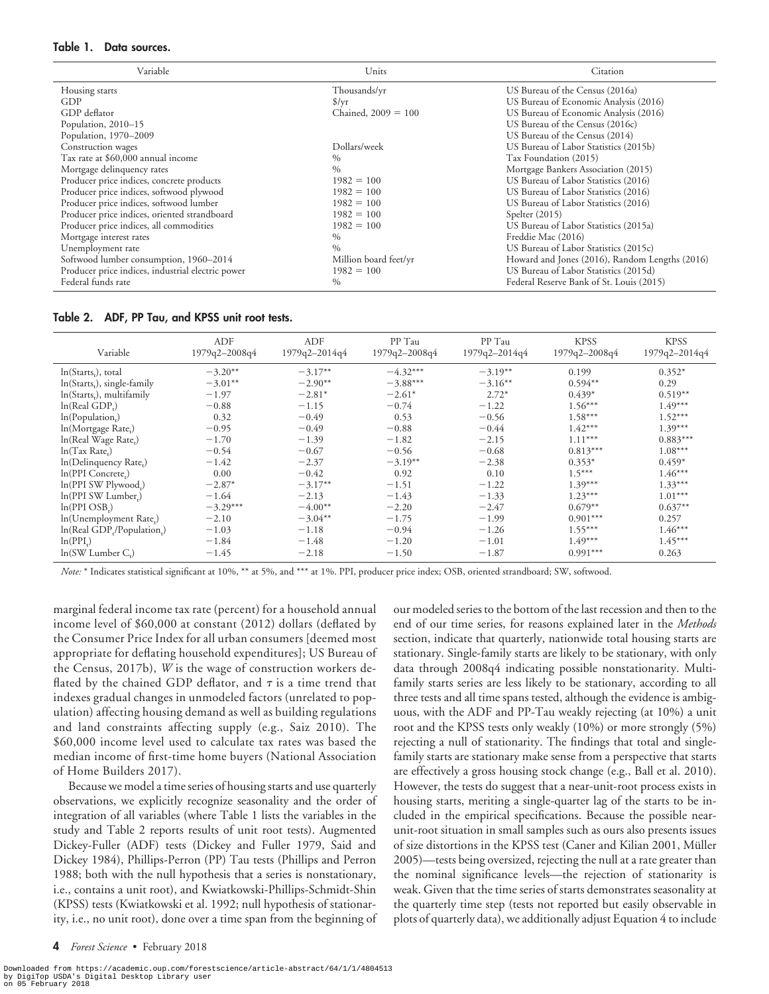#### Table 1. Data sources.

| Variable                                          | Units                 | Citation                                       |
|---------------------------------------------------|-----------------------|------------------------------------------------|
| Housing starts                                    | Thousands/yr          | US Bureau of the Census (2016a)                |
| GDP                                               | $\frac{f}{f}$         | US Bureau of Economic Analysis (2016)          |
| GDP deflator                                      | Chained, $2009 = 100$ | US Bureau of Economic Analysis (2016)          |
| Population, 2010-15                               |                       | US Bureau of the Census (2016c)                |
| Population, 1970-2009                             |                       | US Bureau of the Census (2014)                 |
| Construction wages                                | Dollars/week          | US Bureau of Labor Statistics (2015b)          |
| Tax rate at \$60,000 annual income                | $\%$                  | Tax Foundation (2015)                          |
| Mortgage delinquency rates                        | $\frac{0}{0}$         | Mortgage Bankers Association (2015)            |
| Producer price indices, concrete products         | $1982 = 100$          | US Bureau of Labor Statistics (2016)           |
| Producer price indices, softwood plywood          | $1982 = 100$          | US Bureau of Labor Statistics (2016)           |
| Producer price indices, softwood lumber           | $1982 = 100$          | US Bureau of Labor Statistics (2016)           |
| Producer price indices, oriented strandboard      | $1982 = 100$          | Spelter $(2015)$                               |
| Producer price indices, all commodities           | $1982 = 100$          | US Bureau of Labor Statistics (2015a)          |
| Mortgage interest rates                           | $\%$                  | Freddie Mac (2016)                             |
| Unemployment rate                                 | $\frac{0}{0}$         | US Bureau of Labor Statistics (2015c)          |
| Softwood lumber consumption, 1960-2014            | Million board feet/yr | Howard and Jones (2016), Random Lengths (2016) |
| Producer price indices, industrial electric power | $1982 = 100$          | US Bureau of Labor Statistics (2015d)          |
| Federal funds rate                                | $\frac{0}{0}$         | Federal Reserve Bank of St. Louis (2015)       |

Table 2. ADF, PP Tau, and KPSS unit root tests.

| Variable                           | ADF<br>1979q2-2008q4 | ADF<br>1979q2-2014q4 | PP Tau<br>1979q2-2008q4 | PP Tau<br>1979q2-2014q4 | <b>KPSS</b><br>1979q2-2008q4 | <b>KPSS</b><br>1979q2-2014q4 |
|------------------------------------|----------------------|----------------------|-------------------------|-------------------------|------------------------------|------------------------------|
| $ln(Starts_r)$ , total             | $-3.20**$            | $-3.17**$            | $-4.32***$              | $-3.19**$               | 0.199                        | $0.352*$                     |
| $ln(Startsr)$ , single-family      | $-3.01**$            | $-2.90**$            | $-3.88***$              | $-3.16**$               | $0.594**$                    | 0.29                         |
| $ln(Starts_t)$ , multifamily       | $-1.97$              | $-2.81*$             | $-2.61*$                | $2.72*$                 | $0.439*$                     | $0.519**$                    |
| ln(Real GDP.)                      | $-0.88$              | $-1.15$              | $-0.74$                 | $-1.22$                 | $1.56***$                    | $1.49***$                    |
| ln(Population <sub>r</sub> )       | 0.32                 | $-0.49$              | 0.53                    | $-0.56$                 | $1.58***$                    | $1.52***$                    |
| In(Mortgage Rate,)                 | $-0.95$              | $-0.49$              | $-0.88$                 | $-0.44$                 | $1.42***$                    | $1.39***$                    |
| In(Real Wage Rate,)                | $-1.70$              | $-1.39$              | $-1.82$                 | $-2.15$                 | $1.11***$                    | $0.883***$                   |
| $ln(Tax Rate_i)$                   | $-0.54$              | $-0.67$              | $-0.56$                 | $-0.68$                 | $0.813***$                   | $1.08***$                    |
| In(Delinquency Rate <sub>t</sub> ) | $-1.42$              | $-2.37$              | $-3.19**$               | $-2.38$                 | $0.353*$                     | $0.459*$                     |
| In(PPI Concrete,)                  | 0.00                 | $-0.42$              | 0.92                    | 0.10                    | $1.5***$                     | $1.46***$                    |
| ln(PPI SW Plywood,)                | $-2.87*$             | $-3.17**$            | $-1.51$                 | $-1.22$                 | $1.39***$                    | $1.33***$                    |
| ln(PPI SW Lumber,)                 | $-1.64$              | $-2.13$              | $-1.43$                 | $-1.33$                 | $1.23***$                    | $1.01***$                    |
| ln(PPI OSB <sub>r</sub> )          | $-3.29***$           | $-4.00**$            | $-2.20$                 | $-2.47$                 | $0.679**$                    | $0.637**$                    |
| ln(Unemployment Rate,)             | $-2.10$              | $-3.04**$            | $-1.75$                 | $-1.99$                 | $0.901***$                   | 0.257                        |
| In(Real GDP,/Population,)          | $-1.03$              | $-1.18$              | $-0.94$                 | $-1.26$                 | $1.55***$                    | $1.46***$                    |
| ln(PPI)                            | $-1.84$              | $-1.48$              | $-1.20$                 | $-1.01$                 | $1.49***$                    | $1.45***$                    |
| $ln(SW$ Lumber $Cr$ )              | $-1.45$              | $-2.18$              | $-1.50$                 | $-1.87$                 | $0.991***$                   | 0.263                        |

*Note:* \* Indicates statistical significant at 10%, \*\* at 5%, and \*\*\* at 1%. PPI, producer price index; OSB, oriented strandboard; SW, softwood.

marginal federal income tax rate (percent) for a household annual income level of \$60,000 at constant (2012) dollars (deflated by the Consumer Price Index for all urban consumers [deemed most appropriate for deflating household expenditures]; US Bureau of the Census, 2017b), *W* is the wage of construction workers deflated by the chained GDP deflator, and  $\tau$  is a time trend that indexes gradual changes in unmodeled factors (unrelated to population) affecting housing demand as well as building regulations and land constraints affecting supply (e.g., Saiz 2010). The \$60,000 income level used to calculate tax rates was based the median income of first-time home buyers (National Association of Home Builders 2017).

Because we model a time series of housing starts and use quarterly observations, we explicitly recognize seasonality and the order of integration of all variables (where Table 1 lists the variables in the study and Table 2 reports results of unit root tests). Augmented Dickey-Fuller (ADF) tests (Dickey and Fuller 1979, Said and Dickey 1984), Phillips-Perron (PP) Tau tests (Phillips and Perron 1988; both with the null hypothesis that a series is nonstationary, i.e., contains a unit root), and Kwiatkowski-Phillips-Schmidt-Shin (KPSS) tests (Kwiatkowski et al. 1992; null hypothesis of stationarity, i.e., no unit root), done over a time span from the beginning of our modeled series to the bottom of the last recession and then to the end of our time series, for reasons explained later in the *Methods* section, indicate that quarterly, nationwide total housing starts are stationary. Single-family starts are likely to be stationary, with only data through 2008q4 indicating possible nonstationarity. Multifamily starts series are less likely to be stationary, according to all three tests and all time spans tested, although the evidence is ambiguous, with the ADF and PP-Tau weakly rejecting (at 10%) a unit root and the KPSS tests only weakly (10%) or more strongly (5%) rejecting a null of stationarity. The findings that total and singlefamily starts are stationary make sense from a perspective that starts are effectively a gross housing stock change (e.g., Ball et al. 2010). However, the tests do suggest that a near-unit-root process exists in housing starts, meriting a single-quarter lag of the starts to be included in the empirical specifications. Because the possible nearunit-root situation in small samples such as ours also presents issues of size distortions in the KPSS test (Caner and Kilian 2001, Müller 2005)—tests being oversized, rejecting the null at a rate greater than the nominal significance levels—the rejection of stationarity is weak. Given that the time series of starts demonstrates seasonality at the quarterly time step (tests not reported but easily observable in plots of quarterly data), we additionally adjust Equation 4 to include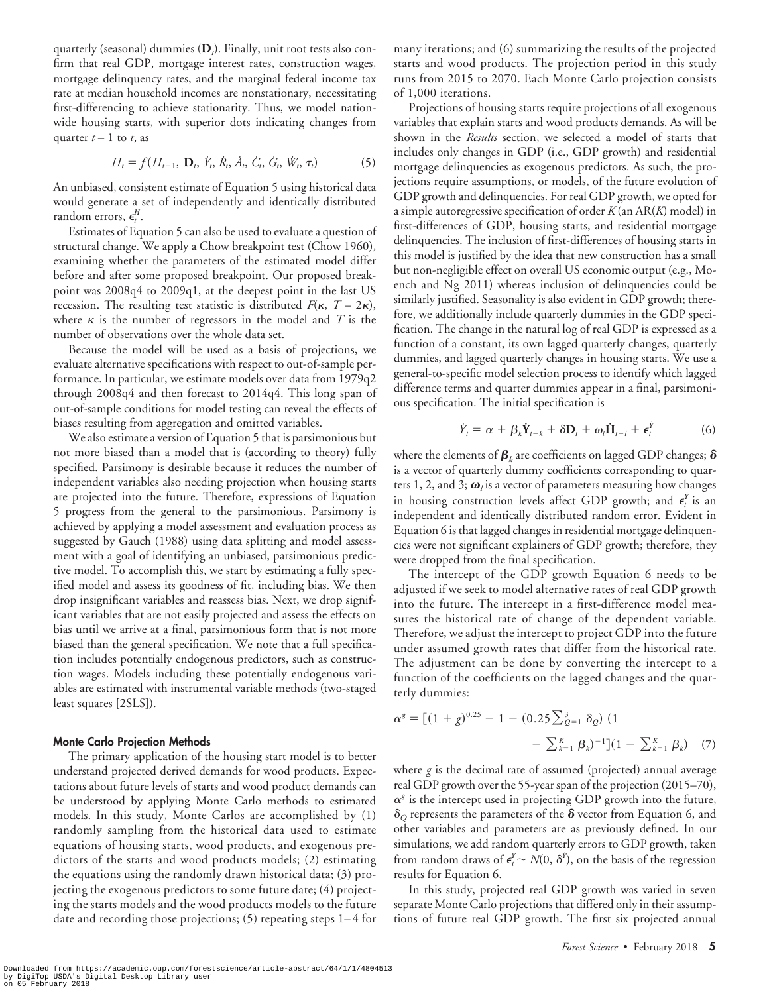quarterly (seasonal) dummies (**D***<sup>t</sup>* ). Finally, unit root tests also confirm that real GDP, mortgage interest rates, construction wages, mortgage delinquency rates, and the marginal federal income tax rate at median household incomes are nonstationary, necessitating first-differencing to achieve stationarity. Thus, we model nationwide housing starts, with superior dots indicating changes from quarter  $t-1$  to  $t$ , as

$$
H_t = f(H_{t-1}, \mathbf{D}_t, \dot{Y}_t, \dot{R}_t, \dot{A}_t, \dot{C}_t, \dot{G}_t, \dot{W}_t, \tau_t)
$$
(5)

An unbiased, consistent estimate of Equation 5 using historical data would generate a set of independently and identically distributed random errors,  $\epsilon_t^H$ .

Estimates of Equation 5 can also be used to evaluate a question of structural change. We apply a Chow breakpoint test (Chow 1960), examining whether the parameters of the estimated model differ before and after some proposed breakpoint. Our proposed breakpoint was 2008q4 to 2009q1, at the deepest point in the last US recession. The resulting test statistic is distributed  $F(\kappa, T - 2\kappa)$ , where  $\kappa$  is the number of regressors in the model and  $T$  is the number of observations over the whole data set.

Because the model will be used as a basis of projections, we evaluate alternative specifications with respect to out-of-sample performance. In particular, we estimate models over data from 1979q2 through 2008q4 and then forecast to 2014q4. This long span of out-of-sample conditions for model testing can reveal the effects of biases resulting from aggregation and omitted variables.

We also estimate a version of Equation 5 that is parsimonious but not more biased than a model that is (according to theory) fully specified. Parsimony is desirable because it reduces the number of independent variables also needing projection when housing starts are projected into the future. Therefore, expressions of Equation 5 progress from the general to the parsimonious. Parsimony is achieved by applying a model assessment and evaluation process as suggested by Gauch (1988) using data splitting and model assessment with a goal of identifying an unbiased, parsimonious predictive model. To accomplish this, we start by estimating a fully specified model and assess its goodness of fit, including bias. We then drop insignificant variables and reassess bias. Next, we drop significant variables that are not easily projected and assess the effects on bias until we arrive at a final, parsimonious form that is not more biased than the general specification. We note that a full specification includes potentially endogenous predictors, such as construction wages. Models including these potentially endogenous variables are estimated with instrumental variable methods (two-staged least squares [2SLS]).

#### Monte Carlo Projection Methods

The primary application of the housing start model is to better understand projected derived demands for wood products. Expectations about future levels of starts and wood product demands can be understood by applying Monte Carlo methods to estimated models. In this study, Monte Carlos are accomplished by (1) randomly sampling from the historical data used to estimate equations of housing starts, wood products, and exogenous predictors of the starts and wood products models; (2) estimating the equations using the randomly drawn historical data; (3) projecting the exogenous predictors to some future date; (4) projecting the starts models and the wood products models to the future date and recording those projections; (5) repeating steps 1–4 for many iterations; and (6) summarizing the results of the projected starts and wood products. The projection period in this study runs from 2015 to 2070. Each Monte Carlo projection consists of 1,000 iterations.

Projections of housing starts require projections of all exogenous variables that explain starts and wood products demands. As will be shown in the *Results* section, we selected a model of starts that includes only changes in GDP (i.e., GDP growth) and residential mortgage delinquencies as exogenous predictors. As such, the projections require assumptions, or models, of the future evolution of GDP growth and delinquencies. For real GDP growth, we opted for a simple autoregressive specification of order *K* (an AR(*K*) model) in first-differences of GDP, housing starts, and residential mortgage delinquencies. The inclusion of first-differences of housing starts in this model is justified by the idea that new construction has a small but non-negligible effect on overall US economic output (e.g., Moench and Ng 2011) whereas inclusion of delinquencies could be similarly justified. Seasonality is also evident in GDP growth; therefore, we additionally include quarterly dummies in the GDP specification. The change in the natural log of real GDP is expressed as a function of a constant, its own lagged quarterly changes, quarterly dummies, and lagged quarterly changes in housing starts. We use a general-to-specific model selection process to identify which lagged difference terms and quarter dummies appear in a final, parsimonious specification. The initial specification is

$$
\dot{Y}_t = \alpha + \beta_k \dot{Y}_{t-k} + \delta D_t + \omega_l \dot{H}_{t-l} + \epsilon_t^{\dot{Y}} \tag{6}
$$

where the elements of  $\boldsymbol{\beta}_k$  are coefficients on lagged GDP changes;  $\boldsymbol{\delta}$ is a vector of quarterly dummy coefficients corresponding to quarters 1, 2, and 3;  $\boldsymbol{\omega}_l$  is a vector of parameters measuring how changes in housing construction levels affect GDP growth; and  $\epsilon_i^{\gamma}$  is an independent and identically distributed random error. Evident in Equation 6 is that lagged changes in residential mortgage delinquencies were not significant explainers of GDP growth; therefore, they were dropped from the final specification.

The intercept of the GDP growth Equation 6 needs to be adjusted if we seek to model alternative rates of real GDP growth into the future. The intercept in a first-difference model measures the historical rate of change of the dependent variable. Therefore, we adjust the intercept to project GDP into the future under assumed growth rates that differ from the historical rate. The adjustment can be done by converting the intercept to a function of the coefficients on the lagged changes and the quarterly dummies:

$$
\alpha^{g} = [(1+g)^{0.25} - 1 - (0.25 \sum_{Q=1}^{3} \delta_{Q}) (1 - \sum_{k=1}^{K} \beta_{k})^{-1}](1 - \sum_{k=1}^{K} \beta_{k})
$$
 (7)

where *g* is the decimal rate of assumed (projected) annual average real GDP growth over the 55-year span of the projection (2015–70),  $\alpha^g$  is the intercept used in projecting GDP growth into the future,  $\delta$ <sup>o</sup> represents the parameters of the  $\delta$  vector from Equation 6, and other variables and parameters are as previously defined. In our simulations, we add random quarterly errors to GDP growth, taken from random draws of  $\epsilon_i^{\dot{Y}} \sim N(0, \delta^{\dot{Y}})$ , on the basis of the regression results for Equation 6.

In this study, projected real GDP growth was varied in seven separate Monte Carlo projections that differed only in their assumptions of future real GDP growth. The first six projected annual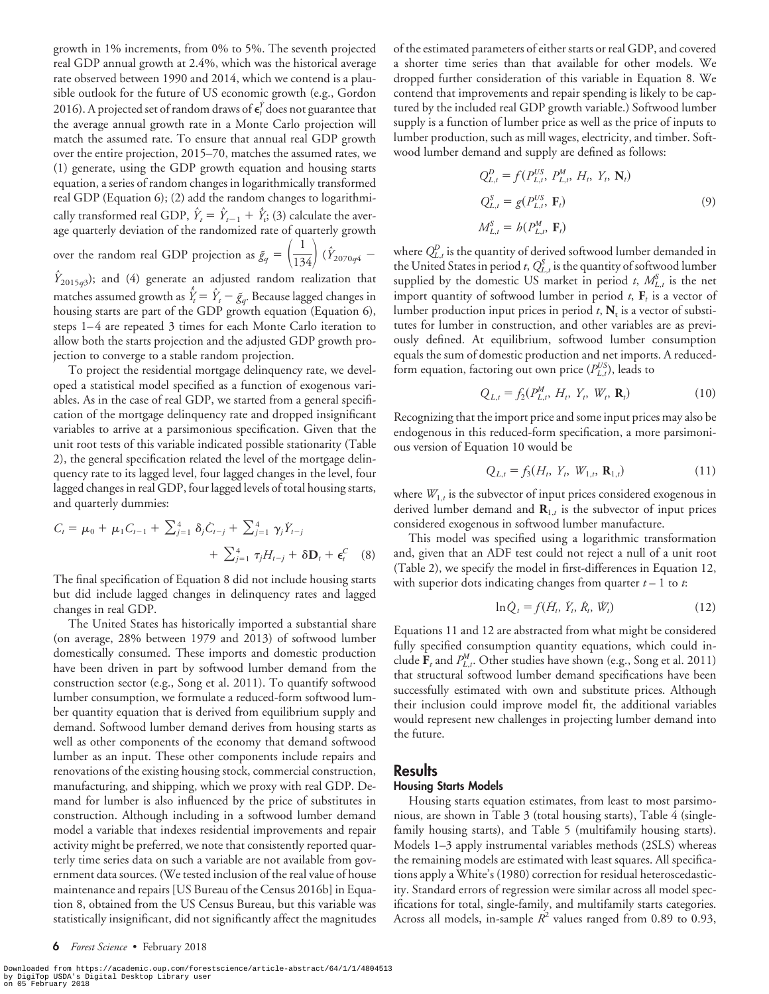growth in 1% increments, from 0% to 5%. The seventh projected real GDP annual growth at 2.4%, which was the historical average rate observed between 1990 and 2014, which we contend is a plausible outlook for the future of US economic growth (e.g., Gordon 2016). A projected set of random draws of  $\epsilon_t^{\dot{Y}}$  does not guarantee that the average annual growth rate in a Monte Carlo projection will match the assumed rate. To ensure that annual real GDP growth over the entire projection, 2015–70, matches the assumed rates, we (1) generate, using the GDP growth equation and housing starts equation, a series of random changes in logarithmically transformed real GDP (Equation 6); (2) add the random changes to logarithmically transformed real GDP,  $\hat{Y}_t = \hat{Y}_{t-1} + \hat{Y}_t$ ; (3) calculate the average quarterly deviation of the randomized rate of quarterly growth over the random real GDP projection as  $\tilde{g}_q = \left(\frac{1}{134}\right) (\hat{Y}_{2070q4} \hat{Y}_{2015q3}$ ); and (4) generate an adjusted random realization that matches assumed growth as  $\hat{Y}_t = \hat{Y}_t - \tilde{g}_q$ . Because lagged changes in housing starts are part of the GDP growth equation (Equation 6), steps 1–4 are repeated 3 times for each Monte Carlo iteration to allow both the starts projection and the adjusted GDP growth projection to converge to a stable random projection.

To project the residential mortgage delinquency rate, we developed a statistical model specified as a function of exogenous variables. As in the case of real GDP, we started from a general specification of the mortgage delinquency rate and dropped insignificant variables to arrive at a parsimonious specification. Given that the unit root tests of this variable indicated possible stationarity (Table 2), the general specification related the level of the mortgage delinquency rate to its lagged level, four lagged changes in the level, four lagged changes in real GDP, four lagged levels of total housing starts, and quarterly dummies:

$$
C_{t} = \mu_{0} + \mu_{1} C_{t-1} + \sum_{j=1}^{4} \delta_{j} C_{t-j} + \sum_{j=1}^{4} \gamma_{j} Y_{t-j} + \sum_{j=1}^{4} \tau_{j} H_{t-j} + \delta \mathbf{D}_{t} + \epsilon_{t}^{C} \quad (8)
$$

The final specification of Equation 8 did not include housing starts but did include lagged changes in delinquency rates and lagged changes in real GDP.

The United States has historically imported a substantial share (on average, 28% between 1979 and 2013) of softwood lumber domestically consumed. These imports and domestic production have been driven in part by softwood lumber demand from the construction sector (e.g., Song et al. 2011). To quantify softwood lumber consumption, we formulate a reduced-form softwood lumber quantity equation that is derived from equilibrium supply and demand. Softwood lumber demand derives from housing starts as well as other components of the economy that demand softwood lumber as an input. These other components include repairs and renovations of the existing housing stock, commercial construction, manufacturing, and shipping, which we proxy with real GDP. Demand for lumber is also influenced by the price of substitutes in construction. Although including in a softwood lumber demand model a variable that indexes residential improvements and repair activity might be preferred, we note that consistently reported quarterly time series data on such a variable are not available from government data sources. (We tested inclusion of the real value of house maintenance and repairs [US Bureau of the Census 2016b] in Equation 8, obtained from the US Census Bureau, but this variable was statistically insignificant, did not significantly affect the magnitudes of the estimated parameters of either starts or real GDP, and covered a shorter time series than that available for other models. We dropped further consideration of this variable in Equation 8. We contend that improvements and repair spending is likely to be captured by the included real GDP growth variable.) Softwood lumber supply is a function of lumber price as well as the price of inputs to lumber production, such as mill wages, electricity, and timber. Softwood lumber demand and supply are defined as follows:

$$
Q_{L,t}^{D} = f(P_{L,t}^{US}, P_{L,t}^{M}, H_t, Y_t, \mathbf{N}_t)
$$
  
\n
$$
Q_{L,t}^{S} = g(P_{L,t}^{US}, \mathbf{F}_t)
$$
  
\n
$$
M_{L,t}^{S} = h(P_{L,t}^{M}, \mathbf{F}_t)
$$
\n(9)

where  $Q_{L,t}^D$  is the quantity of derived softwood lumber demanded in the United States in period  $t$ ,  $Q_{L,t}^S$  is the quantity of softwood lumber supplied by the domestic US market in period *t*,  $M_{L,t}^S$  is the net import quantity of softwood lumber in period  $t$ ,  $\mathbf{F}_t$  is a vector of lumber production input prices in period  $t$ ,  $N_t$  is a vector of substitutes for lumber in construction, and other variables are as previously defined. At equilibrium, softwood lumber consumption equals the sum of domestic production and net imports. A reducedform equation, factoring out own price  $(P_{L,t}^{US})$ , leads to

$$
Q_{L,t} = f_2(P_{L,t}^M, H_t, Y_t, W_t, \mathbf{R}_t)
$$
 (10)

Recognizing that the import price and some input prices may also be endogenous in this reduced-form specification, a more parsimonious version of Equation 10 would be

$$
Q_{L,t} = f_3(H_t, Y_t, W_{1,t}, \mathbf{R}_{1,t})
$$
 (11)

where  $W_{1,t}$  is the subvector of input prices considered exogenous in derived lumber demand and  $\mathbf{R}_{1,t}$  is the subvector of input prices considered exogenous in softwood lumber manufacture.

This model was specified using a logarithmic transformation and, given that an ADF test could not reject a null of a unit root (Table 2), we specify the model in first-differences in Equation 12, with superior dots indicating changes from quarter  $t - 1$  to  $t$ .

$$
\ln \dot{Q}_t = f(\dot{H}_t, \dot{Y}_t, \dot{R}_t, \dot{W}_t)
$$
(12)

Equations 11 and 12 are abstracted from what might be considered fully specified consumption quantity equations, which could include  $\mathbf{F}_t$  and  $P_{L,t}^M$ . Other studies have shown (e.g., Song et al. 2011) that structural softwood lumber demand specifications have been successfully estimated with own and substitute prices. Although their inclusion could improve model fit, the additional variables would represent new challenges in projecting lumber demand into the future.

#### Results

#### Housing Starts Models

Housing starts equation estimates, from least to most parsimonious, are shown in Table 3 (total housing starts), Table 4 (singlefamily housing starts), and Table 5 (multifamily housing starts). Models 1–3 apply instrumental variables methods (2SLS) whereas the remaining models are estimated with least squares. All specifications apply a White's (1980) correction for residual heteroscedasticity. Standard errors of regression were similar across all model specifications for total, single-family, and multifamily starts categories. Across all models, in-sample  $R^2$  values ranged from 0.89 to 0.93,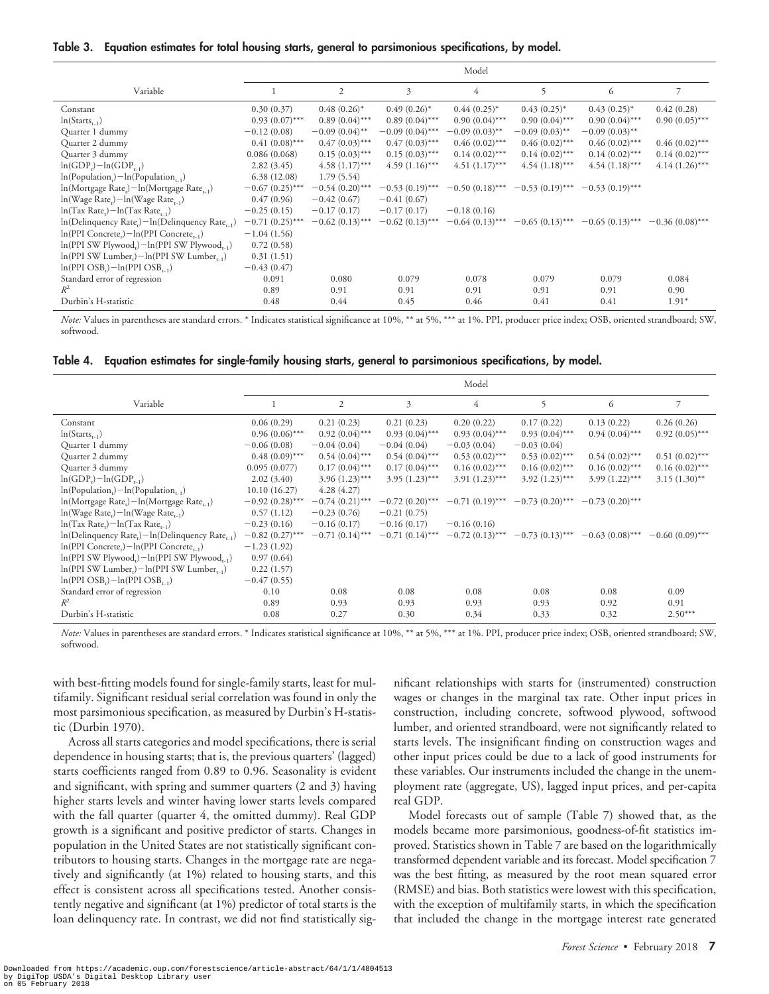| Table 3. | Equation estimates for total housing starts, general to parsimonious specifications, by model. |  |  |  |  |
|----------|------------------------------------------------------------------------------------------------|--|--|--|--|
|          |                                                                                                |  |  |  |  |

|                                                                               | Model             |                   |                   |                   |                   |                   |                   |
|-------------------------------------------------------------------------------|-------------------|-------------------|-------------------|-------------------|-------------------|-------------------|-------------------|
| Variable                                                                      |                   | $\mathfrak{2}$    | 3                 | $\overline{4}$    | 5                 | 6                 | 7                 |
| Constant                                                                      | 0.30(0.37)        | $0.48(0.26)^*$    | $0.49(0.26)^{*}$  | $0.44(0.25)^{*}$  | $0.43(0.25)^{*}$  | $0.43(0.25)^{*}$  | 0.42(0.28)        |
| $ln(Starts_{t-1})$                                                            | $0.93(0.07)$ ***  | $0.89(0.04)$ ***  | $0.89(0.04)$ ***  | $0.90(0.04)$ ***  | $0.90(0.04)$ ***  | $0.90(0.04)$ ***  | $0.90(0.05)$ ***  |
| Quarter 1 dummy                                                               | $-0.12(0.08)$     | $-0.09(0.04)$ **  | $-0.09(0.04)$ *** | $-0.09(0.03)$ **  | $-0.09(0.03)$ **  | $-0.09(0.03)$ **  |                   |
| Quarter 2 dummy                                                               | $0.41(0.08)$ ***  | $0.47(0.03)$ ***  | $0.47(0.03)$ ***  | $0.46(0.02)$ ***  | $0.46(0.02)$ ***  | $0.46(0.02)$ ***  | $0.46(0.02)$ ***  |
| Quarter 3 dummy                                                               | 0.086(0.068)      | $0.15(0.03)$ ***  | $0.15(0.03)$ ***  | $0.14(0.02)$ ***  | $0.14(0.02)$ ***  | $0.14(0.02)$ ***  | $0.14(0.02)$ ***  |
| $ln(GDP_i) - ln(GDP_{t-1})$                                                   | 2.82(3.45)        | $4.58(1.17)$ ***  | $4.59(1.16)$ ***  | $4.51(1.17)$ ***  | $4.54(1.18)$ ***  | $4.54(1.18)***$   | $4.14(1.26)$ ***  |
| $ln(Populationt) - ln(Populationt-1)$                                         | 6.38(12.08)       | 1.79(5.54)        |                   |                   |                   |                   |                   |
| $\ln(M$ ortgage Rate <sub>r</sub> $)$ – $\ln(M$ ortgage Rate <sub>r-1</sub> ) | $-0.67(0.25)$ *** | $-0.54(0.20)$ *** | $-0.53(0.19)$ *** | $-0.50(0.18)$ *** | $-0.53(0.19)$ *** | $-0.53(0.19)$ *** |                   |
| $ln(Wage Rate_i) - ln(Wage Rate_{r-1})$                                       | 0.47(0.96)        | $-0.42(0.67)$     | $-0.41(0.67)$     |                   |                   |                   |                   |
| $ln(Tax Rate_i) - ln(Tax Rate_{i-1})$                                         | $-0.25(0.15)$     | $-0.17(0.17)$     | $-0.17(0.17)$     | $-0.18(0.16)$     |                   |                   |                   |
| $\ln(Delinquency Rate_t) - \ln(Delinquency Rate_{t-1})$                       | $-0.71(0.25)$ *** | $-0.62(0.13)$ *** | $-0.62(0.13)$ *** | $-0.64(0.13)$ *** | $-0.65(0.13)$ *** | $-0.65(0.13)$ *** | $-0.36(0.08)$ *** |
| $\ln(PPI$ Concrete <sub>r</sub> ) – $\ln(PPI$ Concrete <sub>r-1</sub> )       | $-1.04(1.56)$     |                   |                   |                   |                   |                   |                   |
| $\ln(PPI SW Plywood_r) - \ln(PPI SW Plywood_{r-1})$                           | 0.72(0.58)        |                   |                   |                   |                   |                   |                   |
| $ln(PPI SW Lumpur,)-ln(PPI SW Lumpur,1)}$                                     | 0.31(1.51)        |                   |                   |                   |                   |                   |                   |
| $ln(PPI OSB_r) - ln(PPI OSB_{r-1})$                                           | $-0.43(0.47)$     |                   |                   |                   |                   |                   |                   |
| Standard error of regression                                                  | 0.091             | 0.080             | 0.079             | 0.078             | 0.079             | 0.079             | 0.084             |
| $R^2$                                                                         | 0.89              | 0.91              | 0.91              | 0.91              | 0.91              | 0.91              | 0.90              |
| Durbin's H-statistic                                                          | 0.48              | 0.44              | 0.45              | 0.46              | 0.41              | 0.41              | $1.91*$           |

*Note:* Values in parentheses are standard errors. \* Indicates statistical significance at 10%, \*\* at 5%, \*\*\* at 1%. PPI, producer price index; OSB, oriented strandboard; SW, softwood.

| Table 4. Equation estimates for single-family housing starts, general to parsimonious specifications, by model. |  |  |  |
|-----------------------------------------------------------------------------------------------------------------|--|--|--|
|                                                                                                                 |  |  |  |

|                                                                               | Model             |                   |                   |                   |                   |                   |                   |
|-------------------------------------------------------------------------------|-------------------|-------------------|-------------------|-------------------|-------------------|-------------------|-------------------|
| Variable                                                                      |                   | $\overline{c}$    | 3                 | $\overline{4}$    | 5                 | 6                 | $\overline{7}$    |
| Constant                                                                      | 0.06(0.29)        | 0.21(0.23)        | 0.21(0.23)        | 0.20(0.22)        | 0.17(0.22)        | 0.13(0.22)        | 0.26(0.26)        |
| $ln(Starts_{t-1})$                                                            | $0.96(0.06)$ ***  | $0.92(0.04)$ ***  | $0.93(0.04)$ ***  | $0.93(0.04)$ ***  | $0.93(0.04)$ ***  | $0.94(0.04)$ ***  | $0.92(0.05)$ ***  |
| Quarter 1 dummy                                                               | $-0.06(0.08)$     | $-0.04(0.04)$     | $-0.04(0.04)$     | $-0.03(0.04)$     | $-0.03(0.04)$     |                   |                   |
| Quarter 2 dummy                                                               | $0.48(0.09)$ ***  | $0.54(0.04)$ ***  | $0.54(0.04)$ ***  | $0.53(0.02)$ ***  | $0.53(0.02)$ ***  | $0.54(0.02)$ ***  | $0.51(0.02)$ ***  |
| Quarter 3 dummy                                                               | 0.095(0.077)      | $0.17(0.04)$ ***  | $0.17(0.04)$ ***  | $0.16(0.02)$ ***  | $0.16(0.02)$ ***  | $0.16(0.02)$ ***  | $0.16(0.02)$ ***  |
| $ln(GDP_{n})-ln(GDP_{n})$                                                     | 2.02(3.40)        | $3.96(1.23)$ ***  | $3.95(1.23)$ ***  | $3.91(1.23)$ ***  | $3.92(1.23)$ ***  | $3.99(1.22)$ ***  | $3.15(1.30)$ **   |
| $\ln(Population_{n}) - \ln(Population_{n})$                                   | 10.10(16.27)      | 4.28(4.27)        |                   |                   |                   |                   |                   |
| $\ln(M$ ortgage Rate <sub>r</sub> $)$ – $\ln(M$ ortgage Rate <sub>r-1</sub> ) | $-0.92(0.28)$ *** | $-0.74(0.21)$ *** | $-0.72(0.20)$ *** | $-0.71(0.19)$ *** | $-0.73(0.20)$ *** | $-0.73(0.20)$ *** |                   |
| $ln(Wage Rate.) - ln(Wage Rate, )$                                            | 0.57(1.12)        | $-0.23(0.76)$     | $-0.21(0.75)$     |                   |                   |                   |                   |
| $ln(Tax Rate.) - ln(Tax Rate, 1)$                                             | $-0.23(0.16)$     | $-0.16(0.17)$     | $-0.16(0.17)$     | $-0.16(0.16)$     |                   |                   |                   |
| $\ln(Delinquency Rate_r) - \ln(Delinquency Rate_{r-1})$                       | $-0.82(0.27)$ *** | $-0.71(0.14)$ *** | $-0.71(0.14)$ *** | $-0.72(0.13)$ *** | $-0.73(0.13)$ *** | $-0.63(0.08)$ *** | $-0.60(0.09)$ *** |
| $\ln(PPI$ Concrete <sub>.</sub> ) $-\ln(PPI$ Concrete.                        | $-1.23(1.92)$     |                   |                   |                   |                   |                   |                   |
| $\ln(PPI SW Plywood.) - \ln(PPI SW Plywood.$                                  | 0.97(0.64)        |                   |                   |                   |                   |                   |                   |
| $\ln(PPI SW Lumpur.) - \ln(PPI SWLumber_{1})$                                 | 0.22(1.57)        |                   |                   |                   |                   |                   |                   |
| $ln(PPI OSBr)-ln(PPI OSBr-1)$                                                 | $-0.47(0.55)$     |                   |                   |                   |                   |                   |                   |
| Standard error of regression                                                  | 0.10              | 0.08              | 0.08              | 0.08              | 0.08              | 0.08              | 0.09              |
| $R^2$                                                                         | 0.89              | 0.93              | 0.93              | 0.93              | 0.93              | 0.92              | 0.91              |
| Durbin's H-statistic                                                          | 0.08              | 0.27              | 0.30              | 0.34              | 0.33              | 0.32              | $2.50***$         |

*Note:* Values in parentheses are standard errors. \* Indicates statistical significance at 10%, \*\* at 5%, \*\*\* at 1%. PPI, producer price index; OSB, oriented strandboard; SW, softwood.

with best-fitting models found for single-family starts, least for multifamily. Significant residual serial correlation was found in only the most parsimonious specification, as measured by Durbin's H-statistic (Durbin 1970).

Across all starts categories and model specifications, there is serial dependence in housing starts; that is, the previous quarters' (lagged) starts coefficients ranged from 0.89 to 0.96. Seasonality is evident and significant, with spring and summer quarters (2 and 3) having higher starts levels and winter having lower starts levels compared with the fall quarter (quarter 4, the omitted dummy). Real GDP growth is a significant and positive predictor of starts. Changes in population in the United States are not statistically significant contributors to housing starts. Changes in the mortgage rate are negatively and significantly (at 1%) related to housing starts, and this effect is consistent across all specifications tested. Another consistently negative and significant (at 1%) predictor of total starts is the loan delinquency rate. In contrast, we did not find statistically sig-

nificant relationships with starts for (instrumented) construction wages or changes in the marginal tax rate. Other input prices in construction, including concrete, softwood plywood, softwood lumber, and oriented strandboard, were not significantly related to starts levels. The insignificant finding on construction wages and other input prices could be due to a lack of good instruments for these variables. Our instruments included the change in the unemployment rate (aggregate, US), lagged input prices, and per-capita real GDP.

Model forecasts out of sample (Table 7) showed that, as the models became more parsimonious, goodness-of-fit statistics improved. Statistics shown in Table 7 are based on the logarithmically transformed dependent variable and its forecast. Model specification 7 was the best fitting, as measured by the root mean squared error (RMSE) and bias. Both statistics were lowest with this specification, with the exception of multifamily starts, in which the specification that included the change in the mortgage interest rate generated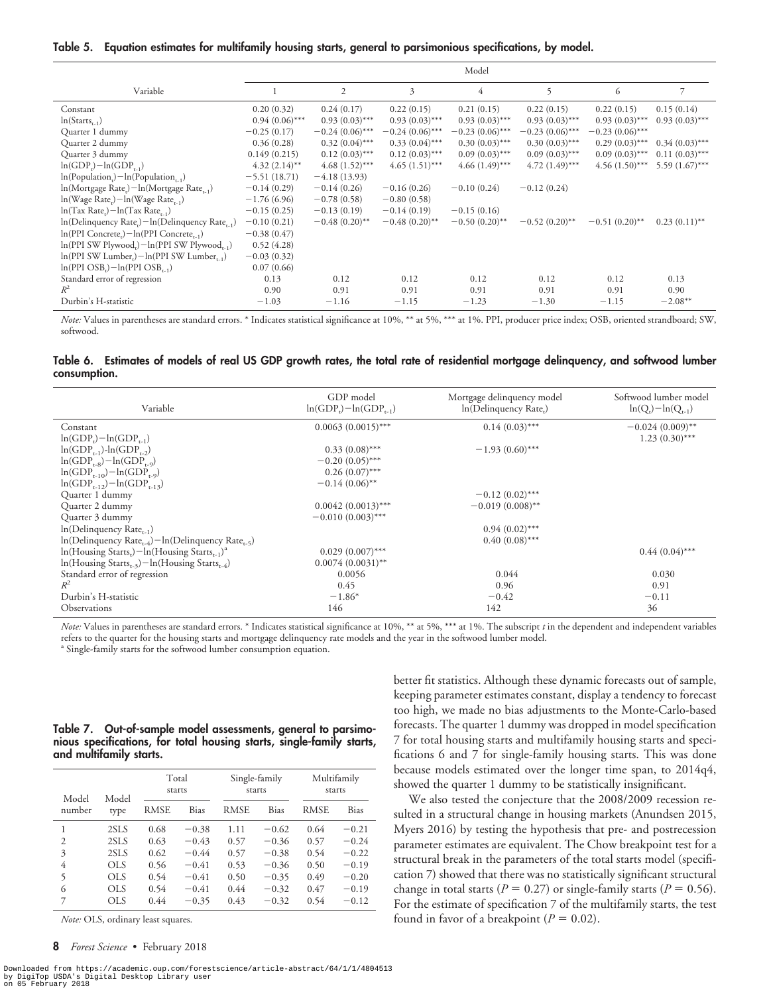Table 5. Equation estimates for multifamily housing starts, general to parsimonious specifications, by model.

|                                                                             | Model            |                   |                   |                   |                   |                   |                  |
|-----------------------------------------------------------------------------|------------------|-------------------|-------------------|-------------------|-------------------|-------------------|------------------|
| Variable                                                                    |                  | $\overline{2}$    | 3                 | $\overline{4}$    | 5                 | 6                 | 7                |
| Constant                                                                    | 0.20(0.32)       | 0.24(0.17)        | 0.22(0.15)        | 0.21(0.15)        | 0.22(0.15)        | 0.22(0.15)        | 0.15(0.14)       |
| $ln(Starts_{n-1})$                                                          | $0.94(0.06)$ *** | $0.93(0.03)$ ***  | $0.93(0.03)$ ***  | $0.93(0.03)$ ***  | $0.93(0.03)$ ***  | $0.93(0.03)$ ***  | $0.93(0.03)$ *** |
| Quarter 1 dummy                                                             | $-0.25(0.17)$    | $-0.24(0.06)$ *** | $-0.24(0.06)$ *** | $-0.23(0.06)$ *** | $-0.23(0.06)$ *** | $-0.23(0.06)$ *** |                  |
| Quarter 2 dummy                                                             | 0.36(0.28)       | $0.32(0.04)$ ***  | $0.33(0.04)$ ***  | $0.30(0.03)$ ***  | $0.30(0.03)$ ***  | $0.29(0.03)$ ***  | $0.34(0.03)$ *** |
| Quarter 3 dummy                                                             | 0.149(0.215)     | $0.12(0.03)$ ***  | $0.12(0.03)$ ***  | $0.09(0.03)$ ***  | $0.09(0.03)$ ***  | $0.09(0.03)$ ***  | $0.11(0.03)$ *** |
| $ln(GDP_i) - ln(GDP_{t-1})$                                                 | $4.32(2.14)$ **  | $4.68(1.52)$ ***  | $4.65(1.51)$ ***  | $4.66(1.49)$ ***  | $4.72(1.49)$ ***  | $4.56(1.50)$ ***  | $5.59(1.67)$ *** |
| $\ln(Population_{r}) - \ln(Population_{r-1})$                               | $-5.51(18.71)$   | $-4.18(13.93)$    |                   |                   |                   |                   |                  |
| $\ln(M$ ortgage Rate <sub>r</sub> ) – $\ln(M$ ortgage Rate <sub>r-1</sub> ) | $-0.14(0.29)$    | $-0.14(0.26)$     | $-0.16(0.26)$     | $-0.10(0.24)$     | $-0.12(0.24)$     |                   |                  |
| $ln(Wage Rater) - ln(Wage Rater-1)$                                         | $-1.76(6.96)$    | $-0.78(0.58)$     | $-0.80(0.58)$     |                   |                   |                   |                  |
| $ln(Tax Rate_r) - ln(Tax Rate_{r-1})$                                       | $-0.15(0.25)$    | $-0.13(0.19)$     | $-0.14(0.19)$     | $-0.15(0.16)$     |                   |                   |                  |
| $\ln(Delinquency Rate_i) - \ln(Delinquency Rate_{t-1})$                     | $-0.10(0.21)$    | $-0.48(0.20)$ **  | $-0.48(0.20)$ **  | $-0.50(0.20)$ **  | $-0.52(0.20)$ **  | $-0.51(0.20)$ **  | $0.23(0.11)$ **  |
| $\ln(PPI$ Concrete <sub>r</sub> ) – $\ln(PPI$ Concrete <sub>r-1</sub> )     | $-0.38(0.47)$    |                   |                   |                   |                   |                   |                  |
| $\ln(PPI SW Plywood_r) - \ln(PPI SW Plywood_{r-1})$                         | 0.52(4.28)       |                   |                   |                   |                   |                   |                  |
| $\ln(PPI SW Lumber_i) - \ln(PPI SW Lumber_{t-1})$                           | $-0.03(0.32)$    |                   |                   |                   |                   |                   |                  |
| $ln(PPI OSBr)-ln(PPI OSBr-1)$                                               | 0.07(0.66)       |                   |                   |                   |                   |                   |                  |
| Standard error of regression                                                | 0.13             | 0.12              | 0.12              | 0.12              | 0.12              | 0.12              | 0.13             |
| $R^2$                                                                       | 0.90             | 0.91              | 0.91              | 0.91              | 0.91              | 0.91              | 0.90             |
| Durbin's H-statistic                                                        | $-1.03$          | $-1.16$           | $-1.15$           | $-1.23$           | $-1.30$           | $-1.15$           | $-2.08**$        |

*Note:* Values in parentheses are standard errors. \* Indicates statistical significance at 10%, \*\* at 5%, \*\*\* at 1%. PPI, producer price index; OSB, oriented strandboard; SW, softwood.

Table 6. Estimates of models of real US GDP growth rates, the total rate of residential mortgage delinquency, and softwood lumber consumption.

| Variable                                                                                  | GDP model<br>$ln(GDP_r) - ln(GDP_{r-1})$ | Mortgage delinquency model<br>In(Delinquency Rate <sub>r</sub> ) | Softwood lumber model<br>$\ln(Q_{r}) - \ln(Q_{r-1})$ |
|-------------------------------------------------------------------------------------------|------------------------------------------|------------------------------------------------------------------|------------------------------------------------------|
| Constant                                                                                  | $0.0063(0.0015)$ ***                     | $0.14(0.03)$ ***                                                 | $-0.024(0.009)$ **                                   |
| $ln(GDP_r) - ln(GDP_{r-1})$                                                               |                                          |                                                                  | $1.23(0.30)$ ***                                     |
| $ln(GDP_{t-1})-ln(GDP_{t-2})$                                                             | $0.33(0.08)$ ***                         | $-1.93(0.60)$ ***                                                |                                                      |
| $ln(GDP_{r,8})-ln(GDP_{r,9})$                                                             | $-0.20(0.05)$ ***                        |                                                                  |                                                      |
| $ln(GDP_{r-10})-ln(GDP_{r-9})$                                                            | $0.26(0.07)$ ***                         |                                                                  |                                                      |
| $ln(GDP_{r-12})-ln(GDP_{r-13})$                                                           | $-0.14(0.06)$ **                         |                                                                  |                                                      |
| Quarter 1 dummy                                                                           |                                          | $-0.12(0.02)$ ***                                                |                                                      |
| Quarter 2 dummy                                                                           | $0.0042(0.0013)$ ***                     | $-0.019(0.008)$ **                                               |                                                      |
| Quarter 3 dummy                                                                           | $-0.010(0.003)$ ***                      |                                                                  |                                                      |
| $ln(Delinquency Rate_{t-1})$                                                              |                                          | $0.94(0.02)$ ***                                                 |                                                      |
| $\ln(Delinquency Rate_{r=4}) - \ln(Delinquency Rate_{r=5})$                               |                                          | $0.40(0.08)$ ***                                                 |                                                      |
| $\ln(\text{Housing Stars}_r) - \ln(\text{Housing Stars}_{r-1})^2$                         | $0.029(0.007)$ ***                       |                                                                  | $0.44(0.04)$ ***                                     |
| $\ln(H_{\text{ousing}} \text{Starts}_{r-3}) - \ln(H_{\text{ousing}} \text{Starts}_{r-4})$ | $0.0074(0.0031)$ **                      |                                                                  |                                                      |
| Standard error of regression                                                              | 0.0056                                   | 0.044                                                            | 0.030                                                |
| $R^2$                                                                                     | 0.45                                     | 0.96                                                             | 0.91                                                 |
| Durbin's H-statistic                                                                      | $-1.86*$                                 | $-0.42$                                                          | $-0.11$                                              |
| <b>Observations</b>                                                                       | 146                                      | 142                                                              | 36                                                   |

*Note:* Values in parentheses are standard errors. \* Indicates statistical significance at 10%, \*\* at 5%, \*\*\* at 1%. The subscript *t* in the dependent and independent variables refers to the quarter for the housing starts and mortgage delinquency rate models and the year in the softwood lumber model.

<sup>a</sup> Single-family starts for the softwood lumber consumption equation.

|  |                         |  | Table 7. Out-of-sample model assessments, general to parsimo-         |  |  |
|--|-------------------------|--|-----------------------------------------------------------------------|--|--|
|  |                         |  | nious specifications, for total housing starts, single-family starts, |  |  |
|  | and multifamily starts. |  |                                                                       |  |  |

| Model          | Model      |             | Total<br>starts |             | Single-family<br>starts | Multifamily<br>starts |         |
|----------------|------------|-------------|-----------------|-------------|-------------------------|-----------------------|---------|
| number         | type       | <b>RMSE</b> | Bias            | <b>RMSE</b> | Bias                    | <b>RMSE</b>           | Bias    |
|                | 2SLS       | 0.68        | $-0.38$         | 1.11        | $-0.62$                 | 0.64                  | $-0.21$ |
| $\overline{c}$ | 2SLS       | 0.63        | $-0.43$         | 0.57        | $-0.36$                 | 0.57                  | $-0.24$ |
| 3              | 2SLS       | 0.62        | $-0.44$         | 0.57        | $-0.38$                 | 0.54                  | $-0.22$ |
| 4              | OLS.       | 0.56        | $-0.41$         | 0.53        | $-0.36$                 | 0.50                  | $-0.19$ |
| 5              | <b>OLS</b> | 0.54        | $-0.41$         | 0.50        | $-0.35$                 | 0.49                  | $-0.20$ |
| 6              | <b>OLS</b> | 0.54        | $-0.41$         | 0.44        | $-0.32$                 | 0.47                  | $-0.19$ |
| 7              | <b>OLS</b> | 0.44        | $-0.35$         | 0.43        | $-0.32$                 | 0.54                  | $-0.12$ |

*Note:* OLS, ordinary least squares.

8 Forest Science • February 2018

Downloaded from https://academic.oup.com/forestscience/article-abstract/64/1/1/4804513<br>by DigiTop USDA's Digital Desktop Library user<br>on 05 February 2018

better fit statistics. Although these dynamic forecasts out of sample, keeping parameter estimates constant, display a tendency to forecast too high, we made no bias adjustments to the Monte-Carlo-based forecasts. The quarter 1 dummy was dropped in model specification 7 for total housing starts and multifamily housing starts and specifications 6 and 7 for single-family housing starts. This was done because models estimated over the longer time span, to 2014q4, showed the quarter 1 dummy to be statistically insignificant.

We also tested the conjecture that the 2008/2009 recession resulted in a structural change in housing markets (Anundsen 2015, Myers 2016) by testing the hypothesis that pre- and postrecession parameter estimates are equivalent. The Chow breakpoint test for a structural break in the parameters of the total starts model (specification 7) showed that there was no statistically significant structural change in total starts ( $P = 0.27$ ) or single-family starts ( $P = 0.56$ ). For the estimate of specification 7 of the multifamily starts, the test found in favor of a breakpoint ( $P = 0.02$ ).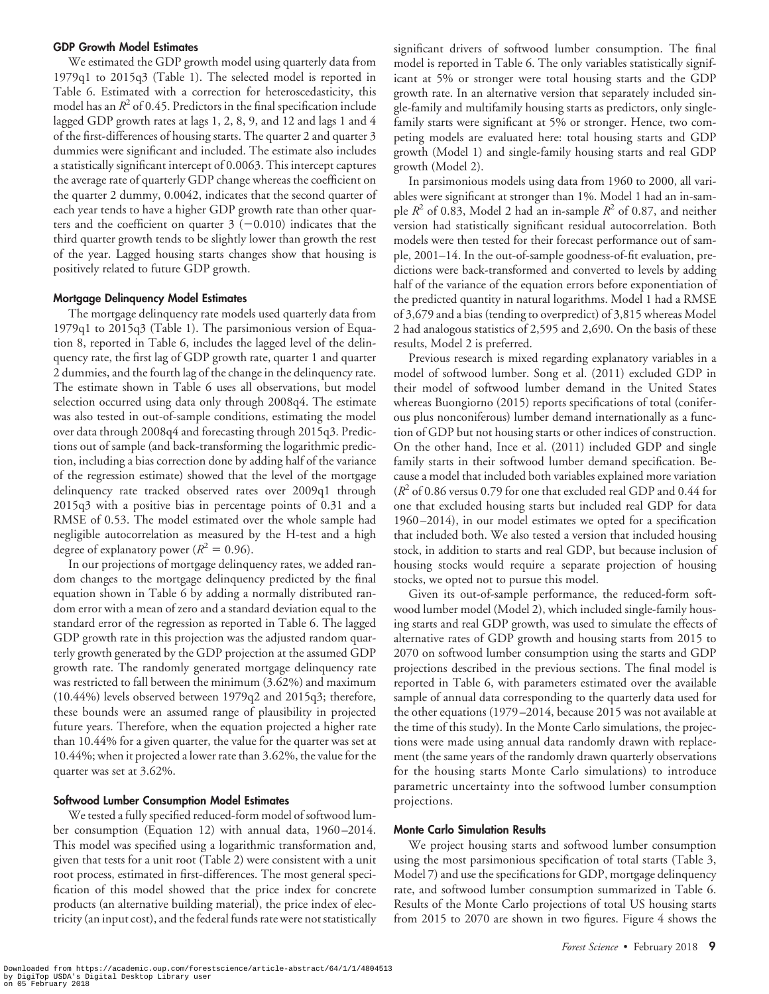#### GDP Growth Model Estimates

We estimated the GDP growth model using quarterly data from 1979q1 to 2015q3 (Table 1). The selected model is reported in Table 6. Estimated with a correction for heteroscedasticity, this model has an  $R^2$  of 0.45. Predictors in the final specification include lagged GDP growth rates at lags 1, 2, 8, 9, and 12 and lags 1 and 4 of the first-differences of housing starts. The quarter 2 and quarter 3 dummies were significant and included. The estimate also includes a statistically significant intercept of 0.0063. This intercept captures the average rate of quarterly GDP change whereas the coefficient on the quarter 2 dummy, 0.0042, indicates that the second quarter of each year tends to have a higher GDP growth rate than other quarters and the coefficient on quarter  $3$  (-0.010) indicates that the third quarter growth tends to be slightly lower than growth the rest of the year. Lagged housing starts changes show that housing is positively related to future GDP growth.

#### Mortgage Delinquency Model Estimates

The mortgage delinquency rate models used quarterly data from 1979q1 to 2015q3 (Table 1). The parsimonious version of Equation 8, reported in Table 6, includes the lagged level of the delinquency rate, the first lag of GDP growth rate, quarter 1 and quarter 2 dummies, and the fourth lag of the change in the delinquency rate. The estimate shown in Table 6 uses all observations, but model selection occurred using data only through 2008q4. The estimate was also tested in out-of-sample conditions, estimating the model over data through 2008q4 and forecasting through 2015q3. Predictions out of sample (and back-transforming the logarithmic prediction, including a bias correction done by adding half of the variance of the regression estimate) showed that the level of the mortgage delinquency rate tracked observed rates over 2009q1 through 2015q3 with a positive bias in percentage points of 0.31 and a RMSE of 0.53. The model estimated over the whole sample had negligible autocorrelation as measured by the H-test and a high degree of explanatory power ( $R^2 = 0.96$ ).

In our projections of mortgage delinquency rates, we added random changes to the mortgage delinquency predicted by the final equation shown in Table 6 by adding a normally distributed random error with a mean of zero and a standard deviation equal to the standard error of the regression as reported in Table 6. The lagged GDP growth rate in this projection was the adjusted random quarterly growth generated by the GDP projection at the assumed GDP growth rate. The randomly generated mortgage delinquency rate was restricted to fall between the minimum (3.62%) and maximum (10.44%) levels observed between 1979q2 and 2015q3; therefore, these bounds were an assumed range of plausibility in projected future years. Therefore, when the equation projected a higher rate than 10.44% for a given quarter, the value for the quarter was set at 10.44%; when it projected a lower rate than 3.62%, the value for the quarter was set at 3.62%.

#### Softwood Lumber Consumption Model Estimates

We tested a fully specified reduced-form model of softwood lumber consumption (Equation 12) with annual data, 1960 –2014. This model was specified using a logarithmic transformation and, given that tests for a unit root (Table 2) were consistent with a unit root process, estimated in first-differences. The most general specification of this model showed that the price index for concrete products (an alternative building material), the price index of electricity (an input cost), and the federal funds rate were not statistically

significant drivers of softwood lumber consumption. The final model is reported in Table 6. The only variables statistically significant at 5% or stronger were total housing starts and the GDP growth rate. In an alternative version that separately included single-family and multifamily housing starts as predictors, only singlefamily starts were significant at 5% or stronger. Hence, two competing models are evaluated here: total housing starts and GDP growth (Model 1) and single-family housing starts and real GDP growth (Model 2).

In parsimonious models using data from 1960 to 2000, all variables were significant at stronger than 1%. Model 1 had an in-sample  $R^2$  of 0.83, Model 2 had an in-sample  $R^2$  of 0.87, and neither version had statistically significant residual autocorrelation. Both models were then tested for their forecast performance out of sample, 2001–14. In the out-of-sample goodness-of-fit evaluation, predictions were back-transformed and converted to levels by adding half of the variance of the equation errors before exponentiation of the predicted quantity in natural logarithms. Model 1 had a RMSE of 3,679 and a bias (tending to overpredict) of 3,815 whereas Model 2 had analogous statistics of 2,595 and 2,690. On the basis of these results, Model 2 is preferred.

Previous research is mixed regarding explanatory variables in a model of softwood lumber. Song et al. (2011) excluded GDP in their model of softwood lumber demand in the United States whereas Buongiorno (2015) reports specifications of total (coniferous plus nonconiferous) lumber demand internationally as a function of GDP but not housing starts or other indices of construction. On the other hand, Ince et al. (2011) included GDP and single family starts in their softwood lumber demand specification. Because a model that included both variables explained more variation  $(R^2 \text{ of } 0.86 \text{ versus } 0.79 \text{ for one that excluded real GDP and } 0.44 \text{ for }$ one that excluded housing starts but included real GDP for data 1960 –2014), in our model estimates we opted for a specification that included both. We also tested a version that included housing stock, in addition to starts and real GDP, but because inclusion of housing stocks would require a separate projection of housing stocks, we opted not to pursue this model.

Given its out-of-sample performance, the reduced-form softwood lumber model (Model 2), which included single-family housing starts and real GDP growth, was used to simulate the effects of alternative rates of GDP growth and housing starts from 2015 to 2070 on softwood lumber consumption using the starts and GDP projections described in the previous sections. The final model is reported in Table 6, with parameters estimated over the available sample of annual data corresponding to the quarterly data used for the other equations (1979 –2014, because 2015 was not available at the time of this study). In the Monte Carlo simulations, the projections were made using annual data randomly drawn with replacement (the same years of the randomly drawn quarterly observations for the housing starts Monte Carlo simulations) to introduce parametric uncertainty into the softwood lumber consumption projections.

#### Monte Carlo Simulation Results

We project housing starts and softwood lumber consumption using the most parsimonious specification of total starts (Table 3, Model 7) and use the specifications for GDP, mortgage delinquency rate, and softwood lumber consumption summarized in Table 6. Results of the Monte Carlo projections of total US housing starts from 2015 to 2070 are shown in two figures. Figure 4 shows the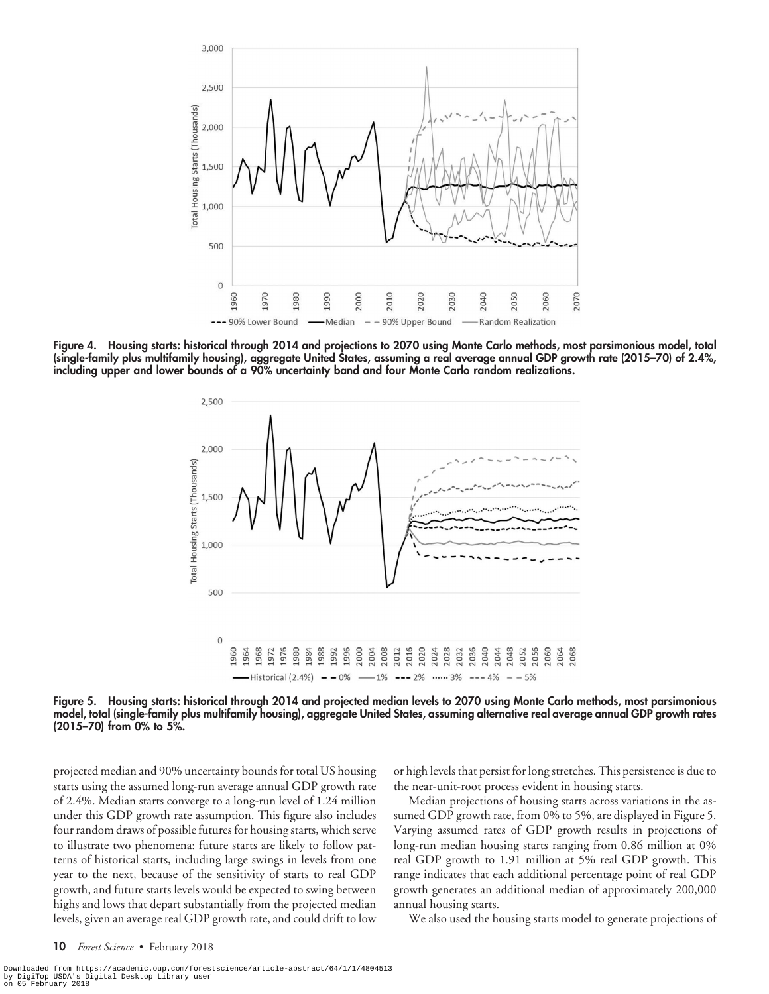

Figure 4. Housing starts: historical through 2014 and projections to 2070 using Monte Carlo methods, most parsimonious model, total (single-family plus multifamily housing), aggregate United States, assuming a real average annual GDP growth rate (2015–70) of 2.4%, including upper and lower bounds of a 90% uncertainty band and four Monte Carlo random realizations.



Figure 5. Housing starts: historical through 2014 and projected median levels to 2070 using Monte Carlo methods, most parsimonious model, total (single-family plus multifamily housing), aggregate United States, assuming alternative real average annual GDP growth rates (2015–70) from 0% to 5%.

projected median and 90% uncertainty bounds for total US housing starts using the assumed long-run average annual GDP growth rate of 2.4%. Median starts converge to a long-run level of 1.24 million under this GDP growth rate assumption. This figure also includes four random draws of possible futures for housing starts, which serve to illustrate two phenomena: future starts are likely to follow patterns of historical starts, including large swings in levels from one year to the next, because of the sensitivity of starts to real GDP growth, and future starts levels would be expected to swing between highs and lows that depart substantially from the projected median levels, given an average real GDP growth rate, and could drift to low

or high levels that persist for long stretches. This persistence is due to the near-unit-root process evident in housing starts.

Median projections of housing starts across variations in the assumed GDP growth rate, from 0% to 5%, are displayed in Figure 5. Varying assumed rates of GDP growth results in projections of long-run median housing starts ranging from 0.86 million at 0% real GDP growth to 1.91 million at 5% real GDP growth. This range indicates that each additional percentage point of real GDP growth generates an additional median of approximately 200,000 annual housing starts.

We also used the housing starts model to generate projections of

Downloaded from https://academic.oup.com/forestscience/article-abstract/64/1/1/4804513<br>by DigiTop USDA's Digital Desktop Library user<br>on 05 February 2018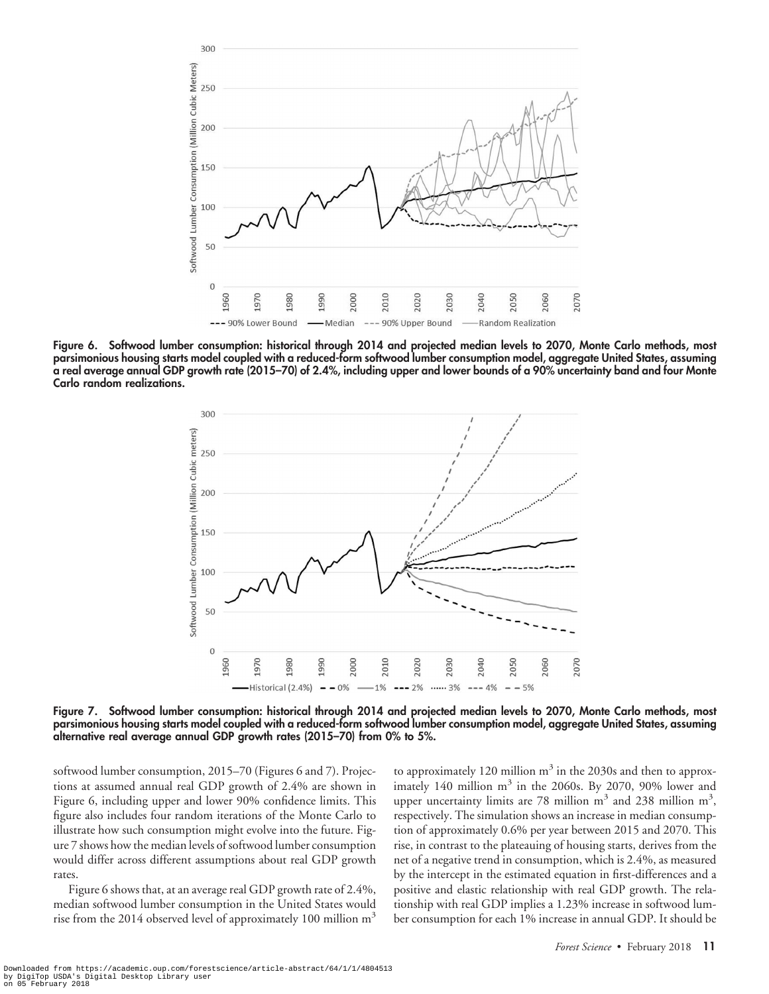

Figure 6. Softwood lumber consumption: historical through 2014 and projected median levels to 2070, Monte Carlo methods, most parsimonious housing starts model coupled with a reduced-form softwood lumber consumption model, aggregate United States, assuming a real average annual GDP growth rate (2015–70) of 2.4%, including upper and lower bounds of a 90% uncertainty band and four Monte Carlo random realizations.



Figure 7. Softwood lumber consumption: historical through 2014 and projected median levels to 2070, Monte Carlo methods, most parsimonious housing starts model coupled with a reduced-form softwood lumber consumption model, aggregate United States, assuming alternative real average annual GDP growth rates (2015–70) from 0% to 5%.

softwood lumber consumption, 2015–70 (Figures 6 and 7). Projections at assumed annual real GDP growth of 2.4% are shown in Figure 6, including upper and lower 90% confidence limits. This figure also includes four random iterations of the Monte Carlo to illustrate how such consumption might evolve into the future. Figure 7 shows how the median levels of softwood lumber consumption would differ across different assumptions about real GDP growth rates.

Figure 6 shows that, at an average real GDP growth rate of 2.4%, median softwood lumber consumption in the United States would rise from the 2014 observed level of approximately 100 million  $m<sup>3</sup>$ 

to approximately 120 million  $\mathrm{m}^{3}$  in the 2030s and then to approximately 140 million  $m<sup>3</sup>$  in the 2060s. By 2070, 90% lower and upper uncertainty limits are 78 million  $m^3$  and 238 million  $m^3$ , respectively. The simulation shows an increase in median consumption of approximately 0.6% per year between 2015 and 2070. This rise, in contrast to the plateauing of housing starts, derives from the net of a negative trend in consumption, which is 2.4%, as measured by the intercept in the estimated equation in first-differences and a positive and elastic relationship with real GDP growth. The relationship with real GDP implies a 1.23% increase in softwood lumber consumption for each 1% increase in annual GDP. It should be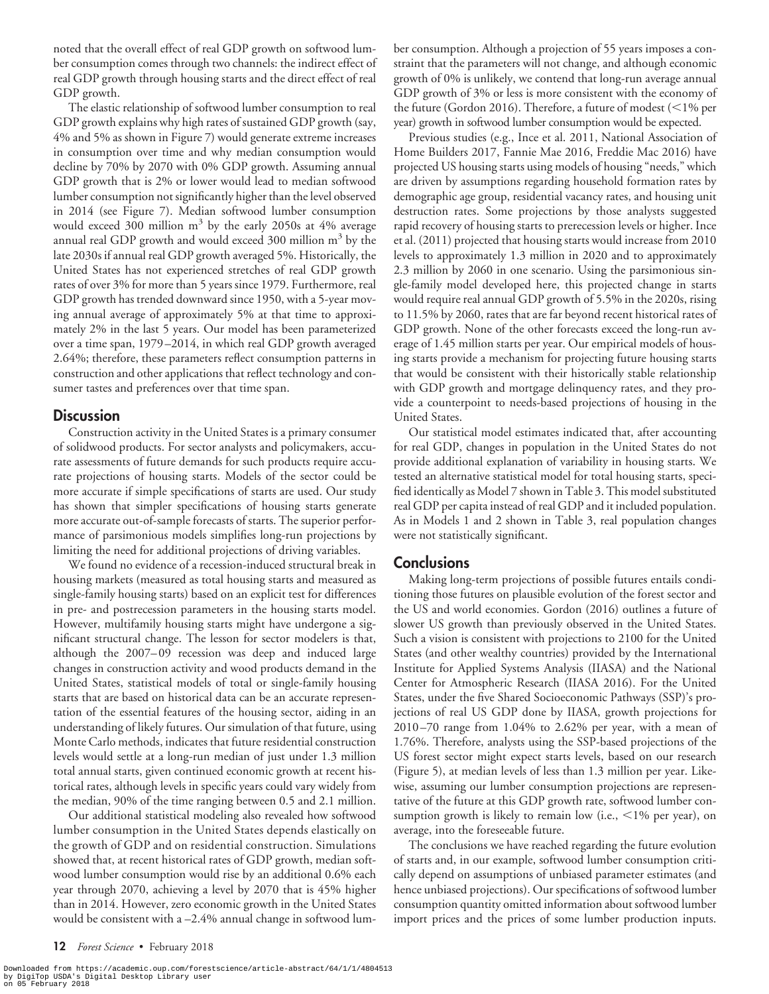noted that the overall effect of real GDP growth on softwood lumber consumption comes through two channels: the indirect effect of real GDP growth through housing starts and the direct effect of real GDP growth.

The elastic relationship of softwood lumber consumption to real GDP growth explains why high rates of sustained GDP growth (say, 4% and 5% as shown in Figure 7) would generate extreme increases in consumption over time and why median consumption would decline by 70% by 2070 with 0% GDP growth. Assuming annual GDP growth that is 2% or lower would lead to median softwood lumber consumption not significantly higher than the level observed in 2014 (see Figure 7). Median softwood lumber consumption would exceed 300 million  $m<sup>3</sup>$  by the early 2050s at 4% average annual real GDP growth and would exceed 300 million  $m<sup>3</sup>$  by the late 2030s if annual real GDP growth averaged 5%. Historically, the United States has not experienced stretches of real GDP growth rates of over 3% for more than 5 years since 1979. Furthermore, real GDP growth has trended downward since 1950, with a 5-year moving annual average of approximately 5% at that time to approximately 2% in the last 5 years. Our model has been parameterized over a time span, 1979 –2014, in which real GDP growth averaged 2.64%; therefore, these parameters reflect consumption patterns in construction and other applications that reflect technology and consumer tastes and preferences over that time span.

## **Discussion**

Construction activity in the United States is a primary consumer of solidwood products. For sector analysts and policymakers, accurate assessments of future demands for such products require accurate projections of housing starts. Models of the sector could be more accurate if simple specifications of starts are used. Our study has shown that simpler specifications of housing starts generate more accurate out-of-sample forecasts of starts. The superior performance of parsimonious models simplifies long-run projections by limiting the need for additional projections of driving variables.

We found no evidence of a recession-induced structural break in housing markets (measured as total housing starts and measured as single-family housing starts) based on an explicit test for differences in pre- and postrecession parameters in the housing starts model. However, multifamily housing starts might have undergone a significant structural change. The lesson for sector modelers is that, although the 2007– 09 recession was deep and induced large changes in construction activity and wood products demand in the United States, statistical models of total or single-family housing starts that are based on historical data can be an accurate representation of the essential features of the housing sector, aiding in an understanding of likely futures. Our simulation of that future, using Monte Carlo methods, indicates that future residential construction levels would settle at a long-run median of just under 1.3 million total annual starts, given continued economic growth at recent historical rates, although levels in specific years could vary widely from the median, 90% of the time ranging between 0.5 and 2.1 million.

Our additional statistical modeling also revealed how softwood lumber consumption in the United States depends elastically on the growth of GDP and on residential construction. Simulations showed that, at recent historical rates of GDP growth, median softwood lumber consumption would rise by an additional 0.6% each year through 2070, achieving a level by 2070 that is 45% higher than in 2014. However, zero economic growth in the United States would be consistent with a –2.4% annual change in softwood lum-

ber consumption. Although a projection of 55 years imposes a constraint that the parameters will not change, and although economic growth of 0% is unlikely, we contend that long-run average annual GDP growth of 3% or less is more consistent with the economy of the future (Gordon 2016). Therefore, a future of modest ( $<$ 1% per year) growth in softwood lumber consumption would be expected.

Previous studies (e.g., Ince et al. 2011, National Association of Home Builders 2017, Fannie Mae 2016, Freddie Mac 2016) have projected US housing starts using models of housing "needs," which are driven by assumptions regarding household formation rates by demographic age group, residential vacancy rates, and housing unit destruction rates. Some projections by those analysts suggested rapid recovery of housing starts to prerecession levels or higher. Ince et al. (2011) projected that housing starts would increase from 2010 levels to approximately 1.3 million in 2020 and to approximately 2.3 million by 2060 in one scenario. Using the parsimonious single-family model developed here, this projected change in starts would require real annual GDP growth of 5.5% in the 2020s, rising to 11.5% by 2060, rates that are far beyond recent historical rates of GDP growth. None of the other forecasts exceed the long-run average of 1.45 million starts per year. Our empirical models of housing starts provide a mechanism for projecting future housing starts that would be consistent with their historically stable relationship with GDP growth and mortgage delinquency rates, and they provide a counterpoint to needs-based projections of housing in the United States.

Our statistical model estimates indicated that, after accounting for real GDP, changes in population in the United States do not provide additional explanation of variability in housing starts. We tested an alternative statistical model for total housing starts, specified identically as Model 7 shown in Table 3. This model substituted real GDP per capita instead of real GDP and it included population. As in Models 1 and 2 shown in Table 3, real population changes were not statistically significant.

## **Conclusions**

Making long-term projections of possible futures entails conditioning those futures on plausible evolution of the forest sector and the US and world economies. Gordon (2016) outlines a future of slower US growth than previously observed in the United States. Such a vision is consistent with projections to 2100 for the United States (and other wealthy countries) provided by the International Institute for Applied Systems Analysis (IIASA) and the National Center for Atmospheric Research (IIASA 2016). For the United States, under the five Shared Socioeconomic Pathways (SSP)'s projections of real US GDP done by IIASA, growth projections for 2010 –70 range from 1.04% to 2.62% per year, with a mean of 1.76%. Therefore, analysts using the SSP-based projections of the US forest sector might expect starts levels, based on our research (Figure 5), at median levels of less than 1.3 million per year. Likewise, assuming our lumber consumption projections are representative of the future at this GDP growth rate, softwood lumber consumption growth is likely to remain low (i.e.,  $\leq$ 1% per year), on average, into the foreseeable future.

The conclusions we have reached regarding the future evolution of starts and, in our example, softwood lumber consumption critically depend on assumptions of unbiased parameter estimates (and hence unbiased projections). Our specifications of softwood lumber consumption quantity omitted information about softwood lumber import prices and the prices of some lumber production inputs.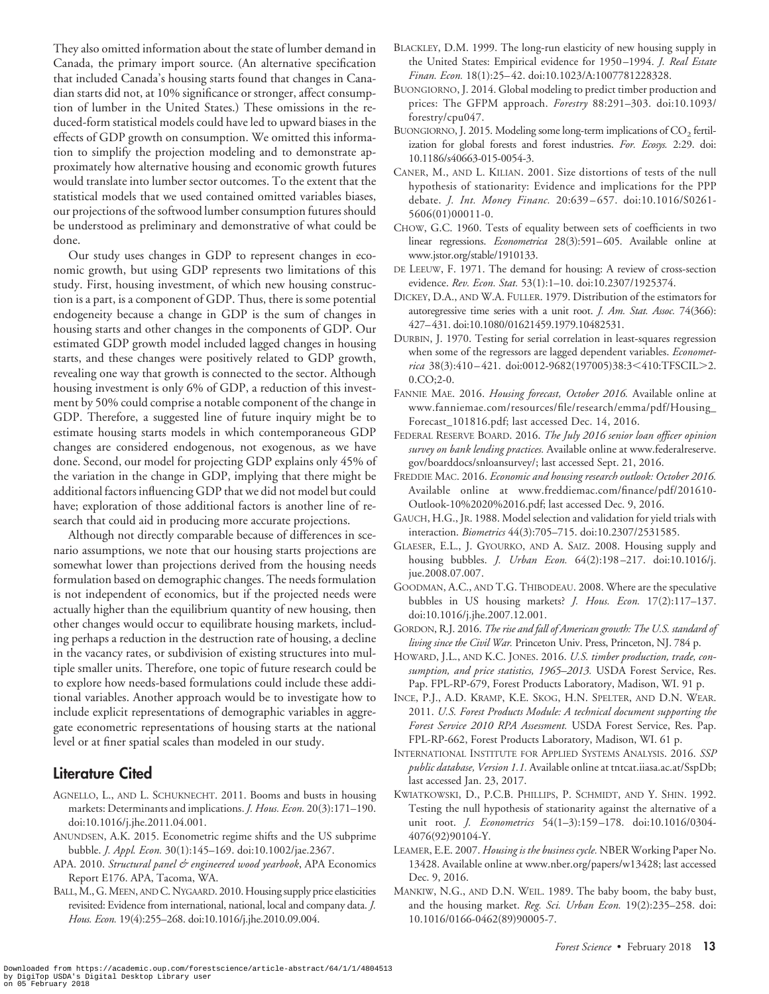APA. 2010. *Structural panel & engineered wood yearbook*, APA Economics Report E176. APA, Tacoma, WA. BALL, M., G. MEEN, AND C. NYGAARD. 2010. Housing supply price elasticities revisited: Evidence from international, national, local and company data. *J. Hous. Econ.* 19(4):255–268. doi:10.1016/j.jhe.2010.09.004. Downloaded from https://academic.oup.com/forestscience/article-abstract/64/1/1/4804513<br>by DigiTop USDA's Digital Desktop Library user<br>on 05 February 2018

They also omitted information about the state of lumber demand in Canada, the primary import source. (An alternative specification that included Canada's housing starts found that changes in Canadian starts did not, at 10% significance or stronger, affect consumption of lumber in the United States.) These omissions in the reduced-form statistical models could have led to upward biases in the effects of GDP growth on consumption. We omitted this information to simplify the projection modeling and to demonstrate approximately how alternative housing and economic growth futures would translate into lumber sector outcomes. To the extent that the statistical models that we used contained omitted variables biases, our projections of the softwood lumber consumption futures should be understood as preliminary and demonstrative of what could be done.

Our study uses changes in GDP to represent changes in economic growth, but using GDP represents two limitations of this study. First, housing investment, of which new housing construction is a part, is a component of GDP. Thus, there is some potential endogeneity because a change in GDP is the sum of changes in housing starts and other changes in the components of GDP. Our estimated GDP growth model included lagged changes in housing starts, and these changes were positively related to GDP growth, revealing one way that growth is connected to the sector. Although housing investment is only 6% of GDP, a reduction of this investment by 50% could comprise a notable component of the change in GDP. Therefore, a suggested line of future inquiry might be to estimate housing starts models in which contemporaneous GDP changes are considered endogenous, not exogenous, as we have done. Second, our model for projecting GDP explains only 45% of the variation in the change in GDP, implying that there might be additional factors influencing GDP that we did not model but could have; exploration of those additional factors is another line of research that could aid in producing more accurate projections.

Although not directly comparable because of differences in scenario assumptions, we note that our housing starts projections are somewhat lower than projections derived from the housing needs formulation based on demographic changes. The needs formulation is not independent of economics, but if the projected needs were actually higher than the equilibrium quantity of new housing, then other changes would occur to equilibrate housing markets, including perhaps a reduction in the destruction rate of housing, a decline in the vacancy rates, or subdivision of existing structures into multiple smaller units. Therefore, one topic of future research could be to explore how needs-based formulations could include these additional variables. Another approach would be to investigate how to include explicit representations of demographic variables in aggregate econometric representations of housing starts at the national level or at finer spatial scales than modeled in our study.

## Literature Cited

- AGNELLO, L., AND L. SCHUKNECHT. 2011. Booms and busts in housing markets: Determinants and implications. *J. Hous. Econ.* 20(3):171–190. doi:10.1016/j.jhe.2011.04.001.
- ANUNDSEN, A.K. 2015. Econometric regime shifts and the US subprime bubble. *J. Appl. Econ.* 30(1):145–169. doi:10.1002/jae.2367.
- 
- BLACKLEY, D.M. 1999. The long-run elasticity of new housing supply in the United States: Empirical evidence for 1950 –1994. *J. Real Estate Finan. Econ.* 18(1):25– 42. doi:10.1023/A:1007781228328.
- BUONGIORNO, J. 2014. Global modeling to predict timber production and prices: The GFPM approach. *Forestry* 88:291–303. doi:10.1093/ forestry/cpu047.
- BUONGIORNO, J. 2015. Modeling some long-term implications of  $CO_2$  fertilization for global forests and forest industries. *For. Ecosys.* 2:29. doi: 10.1186/s40663-015-0054-3.
- CANER, M., AND L. KILIAN. 2001. Size distortions of tests of the null hypothesis of stationarity: Evidence and implications for the PPP debate. *J. Int. Money Financ.* 20:639 – 657. doi:10.1016/S0261- 5606(01)00011-0.
- CHOW, G.C. 1960. Tests of equality between sets of coefficients in two linear regressions. *Econometrica* 28(3):591– 605. Available online at www.jstor.org/stable/1910133.
- DE LEEUW, F. 1971. The demand for housing: A review of cross-section evidence. *Rev. Econ. Stat.* 53(1):1–10. doi:10.2307/1925374.
- DICKEY, D.A., AND W.A. FULLER. 1979. Distribution of the estimators for autoregressive time series with a unit root. *J. Am. Stat. Assoc.* 74(366): 427– 431. doi:10.1080/01621459.1979.10482531.
- DURBIN, J. 1970. Testing for serial correlation in least-squares regression when some of the regressors are lagged dependent variables. *Econometrica* 38(3):410-421. doi:0012-9682(197005)38:3<410:TFSCIL>2. 0.CO;2-0.
- FANNIE MAE. 2016. *Housing forecast, October 2016.* Available online at www.fanniemae.com/resources/file/research/emma/pdf/Housing\_ Forecast\_101816.pdf; last accessed Dec. 14, 2016.
- FEDERAL RESERVE BOARD. 2016. *The July 2016 senior loan officer opinion survey on bank lending practices.* Available online at www.federalreserve. gov/boarddocs/snloansurvey/; last accessed Sept. 21, 2016.
- FREDDIE MAC. 2016. *Economic and housing research outlook: October 2016.* Available online at www.freddiemac.com/finance/pdf/201610- Outlook-10%2020%2016.pdf; last accessed Dec. 9, 2016.
- GAUCH, H.G., JR. 1988. Model selection and validation for yield trials with interaction. *Biometrics* 44(3):705–715. doi:10.2307/2531585.
- GLAESER, E.L., J. GYOURKO, AND A. SAIZ. 2008. Housing supply and housing bubbles. *J. Urban Econ.* 64(2):198 –217. doi:10.1016/j. jue.2008.07.007.
- GOODMAN, A.C., AND T.G. THIBODEAU. 2008. Where are the speculative bubbles in US housing markets? *J. Hous. Econ.* 17(2):117–137. doi:10.1016/j.jhe.2007.12.001.
- GORDON, R.J. 2016. *The rise and fall of American growth: The U.S. standard of living since the Civil War.* Princeton Univ. Press, Princeton, NJ. 784 p.
- HOWARD, J.L., AND K.C. JONES. 2016. *U.S. timber production, trade, consumption, and price statistics, 1965–2013.* USDA Forest Service, Res. Pap. FPL-RP-679, Forest Products Laboratory, Madison, WI. 91 p.
- INCE, P.J., A.D. KRAMP, K.E. SKOG, H.N. SPELTER, AND D.N. WEAR. 2011. *U.S. Forest Products Module: A technical document supporting the Forest Service 2010 RPA Assessment.* USDA Forest Service, Res. Pap. FPL-RP-662, Forest Products Laboratory, Madison, WI. 61 p.
- INTERNATIONAL INSTITUTE FOR APPLIED SYSTEMS ANALYSIS. 2016. *SSP public database, Version 1.1.* Available online at tntcat.iiasa.ac.at/SspDb; last accessed Jan. 23, 2017.
- KWIATKOWSKI, D., P.C.B. PHILLIPS, P. SCHMIDT, AND Y. SHIN. 1992. Testing the null hypothesis of stationarity against the alternative of a unit root. *J. Econometrics* 54(1–3):159 –178. doi:10.1016/0304- 4076(92)90104-Y.
- LEAMER, E.E. 2007. *Housing is the business cycle.* NBER Working Paper No. 13428. Available online at www.nber.org/papers/w13428; last accessed Dec. 9, 2016.
- MANKIW, N.G., AND D.N. WEIL. 1989. The baby boom, the baby bust, and the housing market. *Reg. Sci. Urban Econ.* 19(2):235–258. doi: 10.1016/0166-0462(89)90005-7.